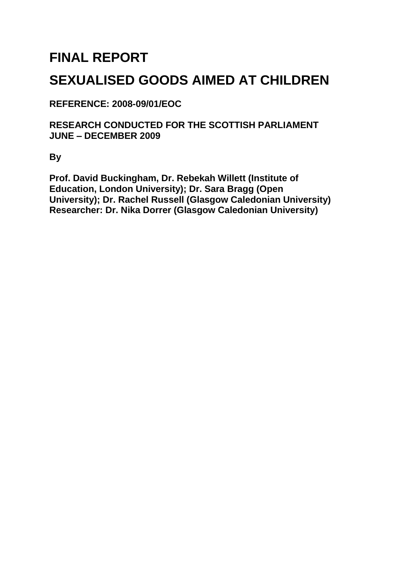# **FINAL REPORT**

# **SEXUALISED GOODS AIMED AT CHILDREN**

**REFERENCE: 2008-09/01/EOC**

# **RESEARCH CONDUCTED FOR THE SCOTTISH PARLIAMENT JUNE – DECEMBER 2009**

**By**

**Prof. David Buckingham, Dr. Rebekah Willett (Institute of Education, London University); Dr. Sara Bragg (Open University); Dr. Rachel Russell (Glasgow Caledonian University) Researcher: Dr. Nika Dorrer (Glasgow Caledonian University)**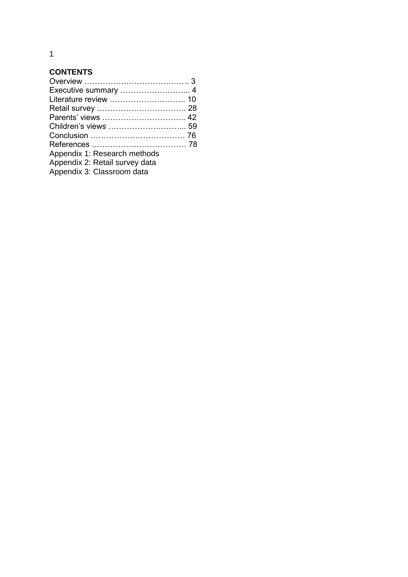# **CONTENTS**

| Literature review  10          |  |
|--------------------------------|--|
|                                |  |
| Parents' views  42             |  |
| Children's views  59           |  |
|                                |  |
|                                |  |
| Appendix 1: Research methods   |  |
| Appendix 2: Retail survey data |  |
| Appendix 3: Classroom data     |  |
|                                |  |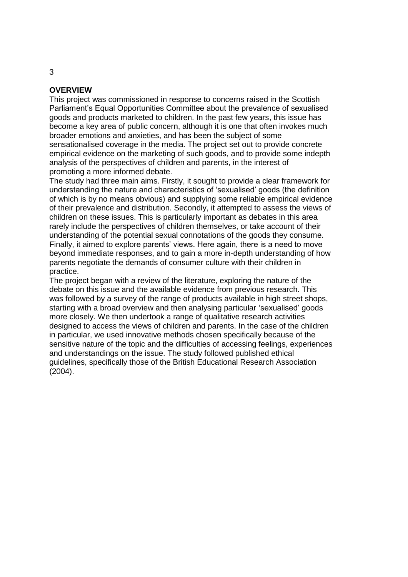#### **OVERVIEW**

This project was commissioned in response to concerns raised in the Scottish Parliament's Equal Opportunities Committee about the prevalence of sexualised goods and products marketed to children. In the past few years, this issue has become a key area of public concern, although it is one that often invokes much broader emotions and anxieties, and has been the subject of some sensationalised coverage in the media. The project set out to provide concrete empirical evidence on the marketing of such goods, and to provide some indepth analysis of the perspectives of children and parents, in the interest of promoting a more informed debate.

The study had three main aims. Firstly, it sought to provide a clear framework for understanding the nature and characteristics of 'sexualised' goods (the definition of which is by no means obvious) and supplying some reliable empirical evidence of their prevalence and distribution. Secondly, it attempted to assess the views of children on these issues. This is particularly important as debates in this area rarely include the perspectives of children themselves, or take account of their understanding of the potential sexual connotations of the goods they consume. Finally, it aimed to explore parents' views. Here again, there is a need to move beyond immediate responses, and to gain a more in-depth understanding of how parents negotiate the demands of consumer culture with their children in practice.

The project began with a review of the literature, exploring the nature of the debate on this issue and the available evidence from previous research. This was followed by a survey of the range of products available in high street shops, starting with a broad overview and then analysing particular 'sexualised' goods more closely. We then undertook a range of qualitative research activities designed to access the views of children and parents. In the case of the children in particular, we used innovative methods chosen specifically because of the sensitive nature of the topic and the difficulties of accessing feelings, experiences and understandings on the issue. The study followed published ethical guidelines, specifically those of the British Educational Research Association (2004).

3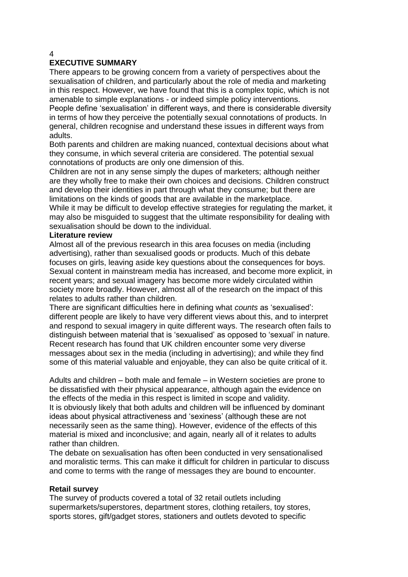# **EXECUTIVE SUMMARY**

4

There appears to be growing concern from a variety of perspectives about the sexualisation of children, and particularly about the role of media and marketing in this respect. However, we have found that this is a complex topic, which is not amenable to simple explanations - or indeed simple policy interventions. People define 'sexualisation' in different ways, and there is considerable diversity in terms of how they perceive the potentially sexual connotations of products. In general, children recognise and understand these issues in different ways from adults.

Both parents and children are making nuanced, contextual decisions about what they consume, in which several criteria are considered. The potential sexual connotations of products are only one dimension of this.

Children are not in any sense simply the dupes of marketers; although neither are they wholly free to make their own choices and decisions. Children construct and develop their identities in part through what they consume; but there are limitations on the kinds of goods that are available in the marketplace.

While it may be difficult to develop effective strategies for regulating the market, it may also be misguided to suggest that the ultimate responsibility for dealing with sexualisation should be down to the individual.

#### **Literature review**

Almost all of the previous research in this area focuses on media (including advertising), rather than sexualised goods or products. Much of this debate focuses on girls, leaving aside key questions about the consequences for boys. Sexual content in mainstream media has increased, and become more explicit, in recent years; and sexual imagery has become more widely circulated within society more broadly. However, almost all of the research on the impact of this relates to adults rather than children.

There are significant difficulties here in defining what *counts* as 'sexualised': different people are likely to have very different views about this, and to interpret and respond to sexual imagery in quite different ways. The research often fails to distinguish between material that is 'sexualised' as opposed to 'sexual' in nature. Recent research has found that UK children encounter some very diverse messages about sex in the media (including in advertising); and while they find some of this material valuable and enjoyable, they can also be quite critical of it.

Adults and children – both male and female – in Western societies are prone to be dissatisfied with their physical appearance, although again the evidence on the effects of the media in this respect is limited in scope and validity.

It is obviously likely that both adults and children will be influenced by dominant ideas about physical attractiveness and 'sexiness' (although these are not necessarily seen as the same thing). However, evidence of the effects of this material is mixed and inconclusive; and again, nearly all of it relates to adults rather than children.

The debate on sexualisation has often been conducted in very sensationalised and moralistic terms. This can make it difficult for children in particular to discuss and come to terms with the range of messages they are bound to encounter.

#### **Retail survey**

The survey of products covered a total of 32 retail outlets including supermarkets/superstores, department stores, clothing retailers, toy stores, sports stores, gift/gadget stores, stationers and outlets devoted to specific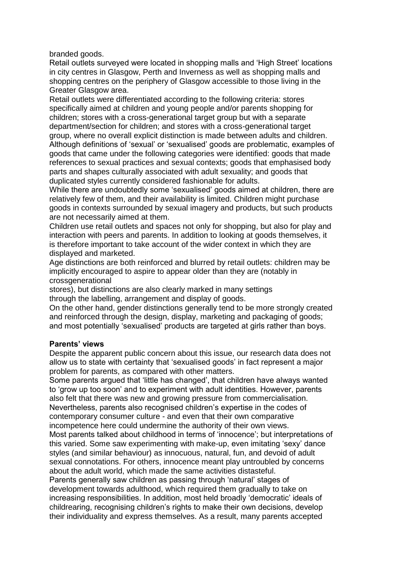branded goods.

Retail outlets surveyed were located in shopping malls and 'High Street' locations in city centres in Glasgow, Perth and Inverness as well as shopping malls and shopping centres on the periphery of Glasgow accessible to those living in the Greater Glasgow area.

Retail outlets were differentiated according to the following criteria: stores specifically aimed at children and young people and/or parents shopping for children; stores with a cross-generational target group but with a separate department/section for children; and stores with a cross-generational target group, where no overall explicit distinction is made between adults and children. Although definitions of 'sexual' or 'sexualised' goods are problematic, examples of goods that came under the following categories were identified: goods that made references to sexual practices and sexual contexts; goods that emphasised body parts and shapes culturally associated with adult sexuality; and goods that duplicated styles currently considered fashionable for adults.

While there are undoubtedly some 'sexualised' goods aimed at children, there are relatively few of them, and their availability is limited. Children might purchase goods in contexts surrounded by sexual imagery and products, but such products are not necessarily aimed at them.

Children use retail outlets and spaces not only for shopping, but also for play and interaction with peers and parents. In addition to looking at goods themselves, it is therefore important to take account of the wider context in which they are displayed and marketed.

Age distinctions are both reinforced and blurred by retail outlets: children may be implicitly encouraged to aspire to appear older than they are (notably in crossgenerational

stores), but distinctions are also clearly marked in many settings through the labelling, arrangement and display of goods.

On the other hand, gender distinctions generally tend to be more strongly created and reinforced through the design, display, marketing and packaging of goods; and most potentially 'sexualised' products are targeted at girls rather than boys.

#### **Parents' views**

Despite the apparent public concern about this issue, our research data does not allow us to state with certainty that 'sexualised goods' in fact represent a major problem for parents, as compared with other matters.

Some parents argued that 'little has changed', that children have always wanted to 'grow up too soon' and to experiment with adult identities. However, parents also felt that there was new and growing pressure from commercialisation. Nevertheless, parents also recognised children's expertise in the codes of contemporary consumer culture - and even that their own comparative incompetence here could undermine the authority of their own views. Most parents talked about childhood in terms of 'innocence'; but interpretations of this varied. Some saw experimenting with make-up, even imitating 'sexy' dance styles (and similar behaviour) as innocuous, natural, fun, and devoid of adult sexual connotations. For others, innocence meant play untroubled by concerns about the adult world, which made the same activities distasteful. Parents generally saw children as passing through 'natural' stages of development towards adulthood, which required them gradually to take on increasing responsibilities. In addition, most held broadly 'democratic' ideals of childrearing, recognising children's rights to make their own decisions, develop their individuality and express themselves. As a result, many parents accepted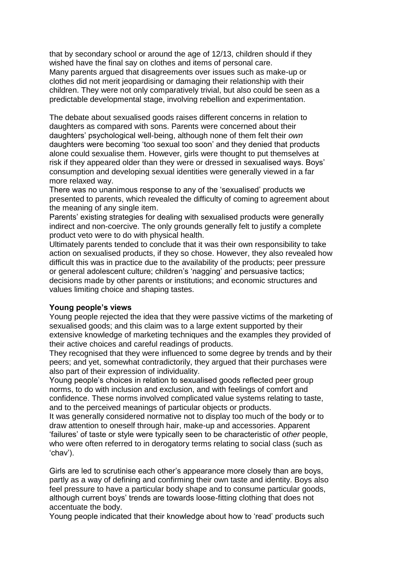that by secondary school or around the age of 12/13, children should if they wished have the final say on clothes and items of personal care. Many parents argued that disagreements over issues such as make-up or clothes did not merit jeopardising or damaging their relationship with their children. They were not only comparatively trivial, but also could be seen as a predictable developmental stage, involving rebellion and experimentation.

The debate about sexualised goods raises different concerns in relation to daughters as compared with sons. Parents were concerned about their daughters' psychological well-being, although none of them felt their *own* daughters were becoming 'too sexual too soon' and they denied that products alone could sexualise them. However, girls were thought to put themselves at risk if they appeared older than they were or dressed in sexualised ways. Boys' consumption and developing sexual identities were generally viewed in a far more relaxed way.

There was no unanimous response to any of the 'sexualised' products we presented to parents, which revealed the difficulty of coming to agreement about the meaning of any single item.

Parents' existing strategies for dealing with sexualised products were generally indirect and non-coercive. The only grounds generally felt to justify a complete product veto were to do with physical health.

Ultimately parents tended to conclude that it was their own responsibility to take action on sexualised products, if they so chose. However, they also revealed how difficult this was in practice due to the availability of the products; peer pressure or general adolescent culture; children's 'nagging' and persuasive tactics; decisions made by other parents or institutions; and economic structures and values limiting choice and shaping tastes.

#### **Young people's views**

Young people rejected the idea that they were passive victims of the marketing of sexualised goods; and this claim was to a large extent supported by their extensive knowledge of marketing techniques and the examples they provided of their active choices and careful readings of products.

They recognised that they were influenced to some degree by trends and by their peers; and yet, somewhat contradictorily, they argued that their purchases were also part of their expression of individuality.

Young people's choices in relation to sexualised goods reflected peer group norms, to do with inclusion and exclusion, and with feelings of comfort and confidence. These norms involved complicated value systems relating to taste, and to the perceived meanings of particular objects or products.

It was generally considered normative not to display too much of the body or to draw attention to oneself through hair, make-up and accessories. Apparent 'failures' of taste or style were typically seen to be characteristic of *other* people, who were often referred to in derogatory terms relating to social class (such as 'chav').

Girls are led to scrutinise each other's appearance more closely than are boys, partly as a way of defining and confirming their own taste and identity. Boys also feel pressure to have a particular body shape and to consume particular goods, although current boys' trends are towards loose-fitting clothing that does not accentuate the body.

Young people indicated that their knowledge about how to 'read' products such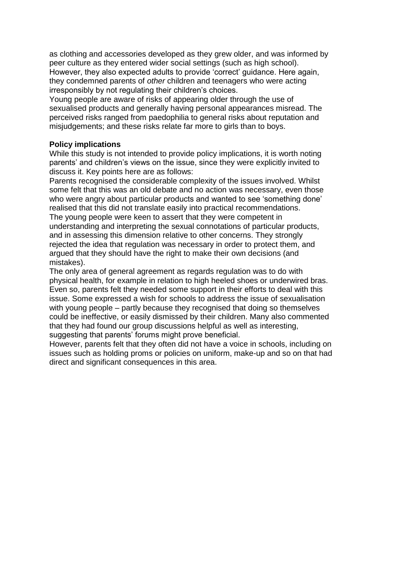as clothing and accessories developed as they grew older, and was informed by peer culture as they entered wider social settings (such as high school). However, they also expected adults to provide 'correct' guidance. Here again, they condemned parents of *other* children and teenagers who were acting irresponsibly by not regulating their children's choices.

Young people are aware of risks of appearing older through the use of sexualised products and generally having personal appearances misread. The perceived risks ranged from paedophilia to general risks about reputation and misjudgements; and these risks relate far more to girls than to boys.

#### **Policy implications**

While this study is not intended to provide policy implications, it is worth noting parents' and children's views on the issue, since they were explicitly invited to discuss it. Key points here are as follows:

Parents recognised the considerable complexity of the issues involved. Whilst some felt that this was an old debate and no action was necessary, even those who were angry about particular products and wanted to see 'something done' realised that this did not translate easily into practical recommendations. The young people were keen to assert that they were competent in understanding and interpreting the sexual connotations of particular products, and in assessing this dimension relative to other concerns. They strongly rejected the idea that regulation was necessary in order to protect them, and argued that they should have the right to make their own decisions (and mistakes).

The only area of general agreement as regards regulation was to do with physical health, for example in relation to high heeled shoes or underwired bras. Even so, parents felt they needed some support in their efforts to deal with this issue. Some expressed a wish for schools to address the issue of sexualisation with young people – partly because they recognised that doing so themselves could be ineffective, or easily dismissed by their children. Many also commented that they had found our group discussions helpful as well as interesting, suggesting that parents' forums might prove beneficial.

However, parents felt that they often did not have a voice in schools, including on issues such as holding proms or policies on uniform, make-up and so on that had direct and significant consequences in this area.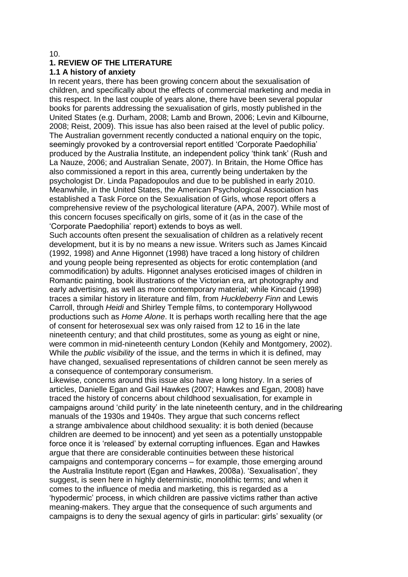#### 10.

#### **1. REVIEW OF THE LITERATURE**

#### **1.1 A history of anxiety**

In recent years, there has been growing concern about the sexualisation of children, and specifically about the effects of commercial marketing and media in this respect. In the last couple of years alone, there have been several popular books for parents addressing the sexualisation of girls, mostly published in the United States (e.g. Durham, 2008; Lamb and Brown, 2006; Levin and Kilbourne, 2008; Reist, 2009). This issue has also been raised at the level of public policy. The Australian government recently conducted a national enquiry on the topic, seemingly provoked by a controversial report entitled 'Corporate Paedophilia' produced by the Australia Institute, an independent policy 'think tank' (Rush and La Nauze, 2006; and Australian Senate, 2007). In Britain, the Home Office has also commissioned a report in this area, currently being undertaken by the psychologist Dr. Linda Papadopoulos and due to be published in early 2010. Meanwhile, in the United States, the American Psychological Association has established a Task Force on the Sexualisation of Girls, whose report offers a comprehensive review of the psychological literature (APA, 2007). While most of this concern focuses specifically on girls, some of it (as in the case of the 'Corporate Paedophilia' report) extends to boys as well.

Such accounts often present the sexualisation of children as a relatively recent development, but it is by no means a new issue. Writers such as James Kincaid (1992, 1998) and Anne Higonnet (1998) have traced a long history of children and young people being represented as objects for erotic contemplation (and commodification) by adults. Higonnet analyses eroticised images of children in Romantic painting, book illustrations of the Victorian era, art photography and early advertising, as well as more contemporary material; while Kincaid (1998) traces a similar history in literature and film, from *Huckleberry Finn* and Lewis Carroll, through *Heidi* and Shirley Temple films, to contemporary Hollywood productions such as *Home Alone*. It is perhaps worth recalling here that the age of consent for heterosexual sex was only raised from 12 to 16 in the late nineteenth century; and that child prostitutes, some as young as eight or nine, were common in mid-nineteenth century London (Kehily and Montgomery, 2002). While the *public visibility* of the issue, and the terms in which it is defined, may have changed, sexualised representations of children cannot be seen merely as a consequence of contemporary consumerism.

Likewise, concerns around this issue also have a long history. In a series of articles, Danielle Egan and Gail Hawkes (2007; Hawkes and Egan, 2008) have traced the history of concerns about childhood sexualisation, for example in campaigns around 'child purity' in the late nineteenth century, and in the childrearing manuals of the 1930s and 1940s. They argue that such concerns reflect a strange ambivalence about childhood sexuality: it is both denied (because children are deemed to be innocent) and yet seen as a potentially unstoppable force once it is 'released' by external corrupting influences. Egan and Hawkes argue that there are considerable continuities between these historical campaigns and contemporary concerns – for example, those emerging around the Australia Institute report (Egan and Hawkes, 2008a). 'Sexualisation', they suggest, is seen here in highly deterministic, monolithic terms; and when it comes to the influence of media and marketing, this is regarded as a 'hypodermic' process, in which children are passive victims rather than active meaning-makers. They argue that the consequence of such arguments and campaigns is to deny the sexual agency of girls in particular: girls' sexuality (or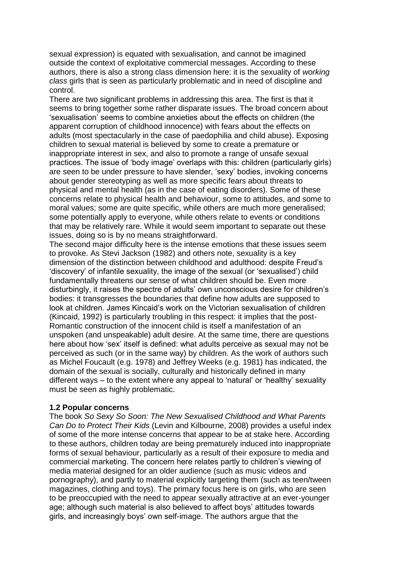sexual expression) is equated with sexualisation, and cannot be imagined outside the context of exploitative commercial messages. According to these authors, there is also a strong class dimension here: it is the sexuality of *working class* girls that is seen as particularly problematic and in need of discipline and control.

There are two significant problems in addressing this area. The first is that it seems to bring together some rather disparate issues. The broad concern about 'sexualisation' seems to combine anxieties about the effects on children (the apparent corruption of childhood innocence) with fears about the effects on adults (most spectacularly in the case of paedophilia and child abuse). Exposing children to sexual material is believed by some to create a premature or inappropriate interest in sex, and also to promote a range of unsafe sexual practices. The issue of 'body image' overlaps with this: children (particularly girls) are seen to be under pressure to have slender, 'sexy' bodies, invoking concerns about gender stereotyping as well as more specific fears about threats to physical and mental health (as in the case of eating disorders). Some of these concerns relate to physical health and behaviour, some to attitudes, and some to moral values; some are quite specific, while others are much more generalised; some potentially apply to everyone, while others relate to events or conditions that may be relatively rare. While it would seem important to separate out these issues, doing so is by no means straightforward.

The second major difficulty here is the intense emotions that these issues seem to provoke. As Stevi Jackson (1982) and others note, sexuality is a key dimension of the distinction between childhood and adulthood: despite Freud's 'discovery' of infantile sexuality, the image of the sexual (or 'sexualised') child fundamentally threatens our sense of what children should be. Even more disturbingly, it raises the spectre of adults' own unconscious desire for children's bodies: it transgresses the boundaries that define how adults are supposed to look at children. James Kincaid's work on the Victorian sexualisation of children (Kincaid, 1992) is particularly troubling in this respect: it implies that the post-Romantic construction of the innocent child is itself a manifestation of an unspoken (and unspeakable) adult desire. At the same time, there are questions here about how 'sex' itself is defined: what adults perceive as sexual may not be perceived as such (or in the same way) by children. As the work of authors such as Michel Foucault (e.g. 1978) and Jeffrey Weeks (e.g. 1981) has indicated, the domain of the sexual is socially, culturally and historically defined in many different ways – to the extent where any appeal to 'natural' or 'healthy' sexuality must be seen as highly problematic.

#### **1.2 Popular concerns**

The book *So Sexy So Soon: The New Sexualised Childhood and What Parents Can Do to Protect Their Kids* (Levin and Kilbourne, 2008) provides a useful index of some of the more intense concerns that appear to be at stake here. According to these authors, children today are being prematurely induced into inappropriate forms of sexual behaviour, particularly as a result of their exposure to media and commercial marketing. The concern here relates partly to children's viewing of media material designed for an older audience (such as music videos and pornography), and partly to material explicitly targeting them (such as teen/tween magazines, clothing and toys). The primary focus here is on girls, who are seen to be preoccupied with the need to appear sexually attractive at an ever-younger age; although such material is also believed to affect boys' attitudes towards girls, and increasingly boys' own self-image. The authors argue that the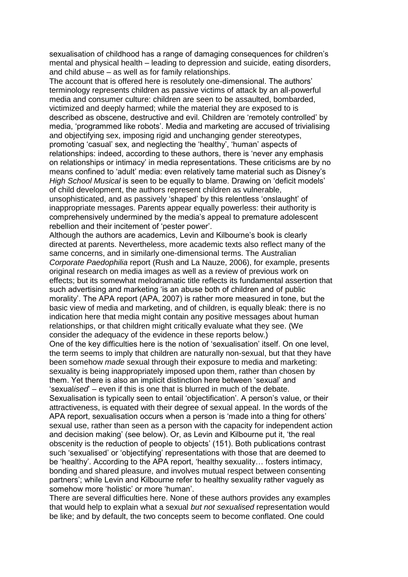sexualisation of childhood has a range of damaging consequences for children's mental and physical health – leading to depression and suicide, eating disorders, and child abuse – as well as for family relationships.

The account that is offered here is resolutely one-dimensional. The authors' terminology represents children as passive victims of attack by an all-powerful media and consumer culture: children are seen to be assaulted, bombarded, victimized and deeply harmed; while the material they are exposed to is described as obscene, destructive and evil. Children are 'remotely controlled' by media, 'programmed like robots'. Media and marketing are accused of trivialising and objectifying sex, imposing rigid and unchanging gender stereotypes, promoting 'casual' sex, and neglecting the 'healthy', 'human' aspects of relationships: indeed, according to these authors, there is 'never any emphasis on relationships or intimacy' in media representations. These criticisms are by no means confined to 'adult' media: even relatively tame material such as Disney's *High School Musical* is seen to be equally to blame. Drawing on 'deficit models' of child development, the authors represent children as vulnerable, unsophisticated, and as passively 'shaped' by this relentless 'onslaught' of inappropriate messages. Parents appear equally powerless: their authority is comprehensively undermined by the media's appeal to premature adolescent rebellion and their incitement of 'pester power'.

Although the authors are academics, Levin and Kilbourne's book is clearly directed at parents. Nevertheless, more academic texts also reflect many of the same concerns, and in similarly one-dimensional terms. The Australian *Corporate Paedophilia* report (Rush and La Nauze, 2006), for example, presents original research on media images as well as a review of previous work on effects; but its somewhat melodramatic title reflects its fundamental assertion that such advertising and marketing 'is an abuse both of children and of public morality'. The APA report (APA, 2007) is rather more measured in tone, but the basic view of media and marketing, and of children, is equally bleak: there is no indication here that media might contain any positive messages about human relationships, or that children might critically evaluate what they see. (We consider the adequacy of the evidence in these reports below.)

One of the key difficulties here is the notion of 'sexualisation' itself. On one level, the term seems to imply that children are naturally non-sexual, but that they have been somehow *made* sexual through their exposure to media and marketing: sexuality is being inappropriately imposed upon them, rather than chosen by them. Yet there is also an implicit distinction here between 'sexual' and 'sexual*ised*' – even if this is one that is blurred in much of the debate. Sexualisation is typically seen to entail 'objectification'. A person's value, or their attractiveness, is equated with their degree of sexual appeal. In the words of the APA report, sexualisation occurs when a person is 'made into a thing for others' sexual use, rather than seen as a person with the capacity for independent action and decision making' (see below). Or, as Levin and Kilbourne put it, 'the real obscenity is the reduction of people to objects' (151). Both publications contrast such 'sexualised' or 'objectifying' representations with those that are deemed to be 'healthy'. According to the APA report, 'healthy sexuality… fosters intimacy, bonding and shared pleasure, and involves mutual respect between consenting partners'; while Levin and Kilbourne refer to healthy sexuality rather vaguely as somehow more 'holistic' or more 'human'.

There are several difficulties here. None of these authors provides any examples that would help to explain what a sexual *but not sexualised* representation would be like; and by default, the two concepts seem to become conflated. One could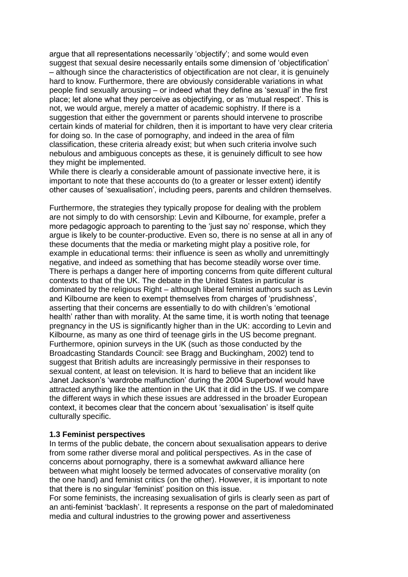argue that all representations necessarily 'objectify'; and some would even suggest that sexual desire necessarily entails some dimension of 'objectification' – although since the characteristics of objectification are not clear, it is genuinely hard to know. Furthermore, there are obviously considerable variations in what people find sexually arousing – or indeed what they define as 'sexual' in the first place; let alone what they perceive as objectifying, or as 'mutual respect'. This is not, we would argue, merely a matter of academic sophistry. If there is a suggestion that either the government or parents should intervene to proscribe certain kinds of material for children, then it is important to have very clear criteria for doing so. In the case of pornography, and indeed in the area of film classification, these criteria already exist; but when such criteria involve such nebulous and ambiguous concepts as these, it is genuinely difficult to see how they might be implemented.

While there is clearly a considerable amount of passionate invective here, it is important to note that these accounts do (to a greater or lesser extent) identify other causes of 'sexualisation', including peers, parents and children themselves.

Furthermore, the strategies they typically propose for dealing with the problem are not simply to do with censorship: Levin and Kilbourne, for example, prefer a more pedagogic approach to parenting to the 'just say no' response, which they argue is likely to be counter-productive. Even so, there is no sense at all in any of these documents that the media or marketing might play a positive role, for example in educational terms: their influence is seen as wholly and unremittingly negative, and indeed as something that has become steadily worse over time. There is perhaps a danger here of importing concerns from quite different cultural contexts to that of the UK. The debate in the United States in particular is dominated by the religious Right – although liberal feminist authors such as Levin and Kilbourne are keen to exempt themselves from charges of 'prudishness', asserting that their concerns are essentially to do with children's 'emotional health' rather than with morality. At the same time, it is worth noting that teenage pregnancy in the US is significantly higher than in the UK: according to Levin and Kilbourne, as many as one third of teenage girls in the US become pregnant. Furthermore, opinion surveys in the UK (such as those conducted by the Broadcasting Standards Council: see Bragg and Buckingham, 2002) tend to suggest that British adults are increasingly permissive in their responses to sexual content, at least on television. It is hard to believe that an incident like Janet Jackson's 'wardrobe malfunction' during the 2004 Superbowl would have attracted anything like the attention in the UK that it did in the US. If we compare the different ways in which these issues are addressed in the broader European context, it becomes clear that the concern about 'sexualisation' is itself quite culturally specific.

#### **1.3 Feminist perspectives**

In terms of the public debate, the concern about sexualisation appears to derive from some rather diverse moral and political perspectives. As in the case of concerns about pornography, there is a somewhat awkward alliance here between what might loosely be termed advocates of conservative morality (on the one hand) and feminist critics (on the other). However, it is important to note that there is no singular 'feminist' position on this issue.

For some feminists, the increasing sexualisation of girls is clearly seen as part of an anti-feminist 'backlash'. It represents a response on the part of maledominated media and cultural industries to the growing power and assertiveness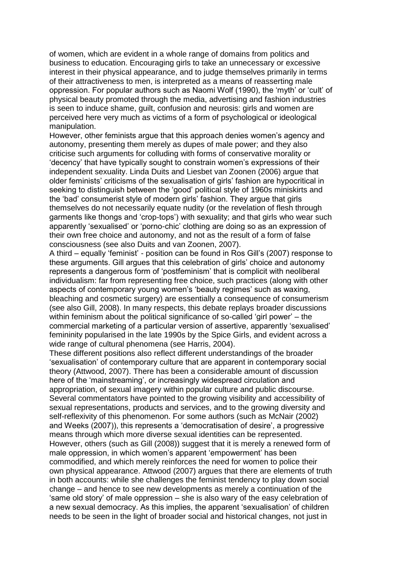of women, which are evident in a whole range of domains from politics and business to education. Encouraging girls to take an unnecessary or excessive interest in their physical appearance, and to judge themselves primarily in terms of their attractiveness to men, is interpreted as a means of reasserting male oppression. For popular authors such as Naomi Wolf (1990), the 'myth' or 'cult' of physical beauty promoted through the media, advertising and fashion industries is seen to induce shame, guilt, confusion and neurosis: girls and women are perceived here very much as victims of a form of psychological or ideological manipulation.

However, other feminists argue that this approach denies women's agency and autonomy, presenting them merely as dupes of male power; and they also criticise such arguments for colluding with forms of conservative morality or 'decency' that have typically sought to constrain women's expressions of their independent sexuality. Linda Duits and Liesbet van Zoonen (2006) argue that older feminists' criticisms of the sexualisation of girls' fashion are hypocritical in seeking to distinguish between the 'good' political style of 1960s miniskirts and the 'bad' consumerist style of modern girls' fashion. They argue that girls themselves do not necessarily equate nudity (or the revelation of flesh through garments like thongs and 'crop-tops') with sexuality; and that girls who wear such apparently 'sexualised' or 'porno-chic' clothing are doing so as an expression of their own free choice and autonomy, and not as the result of a form of false consciousness (see also Duits and van Zoonen, 2007).

A third – equally 'feminist' - position can be found in Ros Gill's (2007) response to these arguments. Gill argues that this celebration of girls' choice and autonomy represents a dangerous form of 'postfeminism' that is complicit with neoliberal individualism: far from representing free choice, such practices (along with other aspects of contemporary young women's 'beauty regimes' such as waxing, bleaching and cosmetic surgery) are essentially a consequence of consumerism (see also Gill, 2008). In many respects, this debate replays broader discussions within feminism about the political significance of so-called 'girl power' – the commercial marketing of a particular version of assertive, apparently 'sexualised' femininity popularised in the late 1990s by the Spice Girls, and evident across a wide range of cultural phenomena (see Harris, 2004).

These different positions also reflect different understandings of the broader 'sexualisation' of contemporary culture that are apparent in contemporary social theory (Attwood, 2007). There has been a considerable amount of discussion here of the 'mainstreaming', or increasingly widespread circulation and appropriation, of sexual imagery within popular culture and public discourse. Several commentators have pointed to the growing visibility and accessibility of sexual representations, products and services, and to the growing diversity and self-reflexivity of this phenomenon. For some authors (such as McNair (2002) and Weeks (2007)), this represents a 'democratisation of desire', a progressive means through which more diverse sexual identities can be represented. However, others (such as Gill (2008)) suggest that it is merely a renewed form of male oppression, in which women's apparent 'empowerment' has been commodified, and which merely reinforces the need for women to police their own physical appearance. Attwood (2007) argues that there are elements of truth in both accounts: while she challenges the feminist tendency to play down social change – and hence to see new developments as merely a continuation of the 'same old story' of male oppression – she is also wary of the easy celebration of a new sexual democracy. As this implies, the apparent 'sexualisation' of children needs to be seen in the light of broader social and historical changes, not just in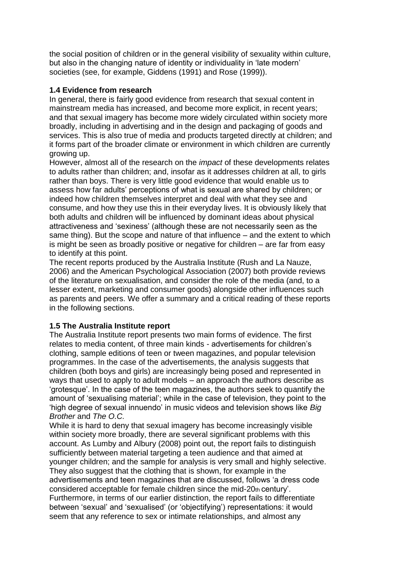the social position of children or in the general visibility of sexuality within culture, but also in the changing nature of identity or individuality in 'late modern' societies (see, for example, Giddens (1991) and Rose (1999)).

## **1.4 Evidence from research**

In general, there is fairly good evidence from research that sexual content in mainstream media has increased, and become more explicit, in recent years; and that sexual imagery has become more widely circulated within society more broadly, including in advertising and in the design and packaging of goods and services. This is also true of media and products targeted directly at children; and it forms part of the broader climate or environment in which children are currently growing up.

However, almost all of the research on the *impact* of these developments relates to adults rather than children; and, insofar as it addresses children at all, to girls rather than boys. There is very little good evidence that would enable us to assess how far adults' perceptions of what is sexual are shared by children; or indeed how children themselves interpret and deal with what they see and consume, and how they use this in their everyday lives. It is obviously likely that both adults and children will be influenced by dominant ideas about physical attractiveness and 'sexiness' (although these are not necessarily seen as the same thing). But the scope and nature of that influence – and the extent to which is might be seen as broadly positive or negative for children – are far from easy to identify at this point.

The recent reports produced by the Australia Institute (Rush and La Nauze, 2006) and the American Psychological Association (2007) both provide reviews of the literature on sexualisation, and consider the role of the media (and, to a lesser extent, marketing and consumer goods) alongside other influences such as parents and peers. We offer a summary and a critical reading of these reports in the following sections.

## **1.5 The Australia Institute report**

The Australia Institute report presents two main forms of evidence. The first relates to media content, of three main kinds - advertisements for children's clothing, sample editions of teen or tween magazines, and popular television programmes. In the case of the advertisements, the analysis suggests that children (both boys and girls) are increasingly being posed and represented in ways that used to apply to adult models – an approach the authors describe as 'grotesque'. In the case of the teen magazines, the authors seek to quantify the amount of 'sexualising material'; while in the case of television, they point to the 'high degree of sexual innuendo' in music videos and television shows like *Big Brother* and *The O.C.*

While it is hard to deny that sexual imagery has become increasingly visible within society more broadly, there are several significant problems with this account. As Lumby and Albury (2008) point out, the report fails to distinguish sufficiently between material targeting a teen audience and that aimed at younger children; and the sample for analysis is very small and highly selective. They also suggest that the clothing that is shown, for example in the advertisements and teen magazines that are discussed, follows 'a dress code considered acceptable for female children since the mid-20th century'. Furthermore, in terms of our earlier distinction, the report fails to differentiate between 'sexual' and 'sexualised' (or 'objectifying') representations: it would seem that any reference to sex or intimate relationships, and almost any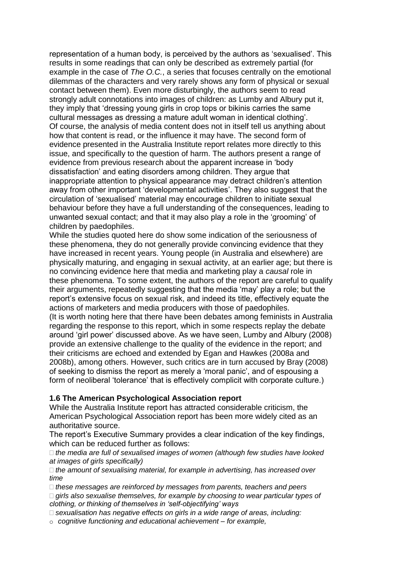representation of a human body, is perceived by the authors as 'sexualised'. This results in some readings that can only be described as extremely partial (for example in the case of *The O.C.*, a series that focuses centrally on the emotional dilemmas of the characters and very rarely shows any form of physical or sexual contact between them). Even more disturbingly, the authors seem to read strongly adult connotations into images of children: as Lumby and Albury put it, they imply that 'dressing young girls in crop tops or bikinis carries the same cultural messages as dressing a mature adult woman in identical clothing'. Of course, the analysis of media content does not in itself tell us anything about how that content is read, or the influence it may have. The second form of evidence presented in the Australia Institute report relates more directly to this issue, and specifically to the question of harm. The authors present a range of evidence from previous research about the apparent increase in 'body dissatisfaction' and eating disorders among children. They argue that inappropriate attention to physical appearance may detract children's attention away from other important 'developmental activities'. They also suggest that the circulation of 'sexualised' material may encourage children to initiate sexual behaviour before they have a full understanding of the consequences, leading to unwanted sexual contact; and that it may also play a role in the 'grooming' of children by paedophiles.

While the studies quoted here do show some indication of the seriousness of these phenomena, they do not generally provide convincing evidence that they have increased in recent years. Young people (in Australia and elsewhere) are physically maturing, and engaging in sexual activity, at an earlier age; but there is no convincing evidence here that media and marketing play a *causal* role in these phenomena. To some extent, the authors of the report are careful to qualify their arguments, repeatedly suggesting that the media 'may' play a role; but the report's extensive focus on sexual risk, and indeed its title, effectively equate the actions of marketers and media producers with those of paedophiles.

(It is worth noting here that there have been debates among feminists in Australia regarding the response to this report, which in some respects replay the debate around 'girl power' discussed above. As we have seen, Lumby and Albury (2008) provide an extensive challenge to the quality of the evidence in the report; and their criticisms are echoed and extended by Egan and Hawkes (2008a and 2008b), among others. However, such critics are in turn accused by Bray (2008) of seeking to dismiss the report as merely a 'moral panic', and of espousing a form of neoliberal 'tolerance' that is effectively complicit with corporate culture.)

#### **1.6 The American Psychological Association report**

While the Australia Institute report has attracted considerable criticism, the American Psychological Association report has been more widely cited as an authoritative source.

The report's Executive Summary provides a clear indication of the key findings, which can be reduced further as follows:

*the media are full of sexualised images of women (although few studies have looked at images of girls specifically)*

*the amount of sexualising material, for example in advertising, has increased over time*

*these messages are reinforced by messages from parents, teachers and peers*

*girls also sexualise themselves, for example by choosing to wear particular types of clothing, or thinking of themselves in 'self-objectifying' ways*

*sexualisation has negative effects on girls in a wide range of areas, including:*

o *cognitive functioning and educational achievement – for example,*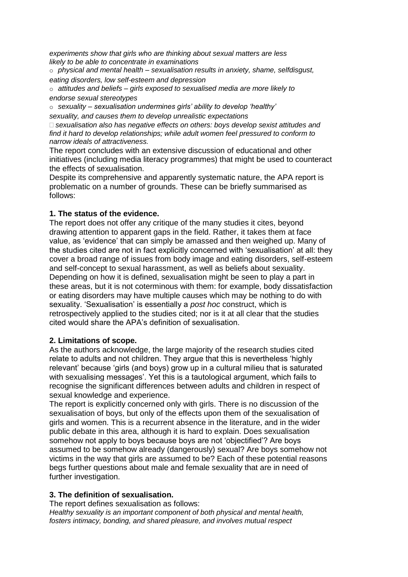*experiments show that girls who are thinking about sexual matters are less likely to be able to concentrate in examinations*

o *physical and mental health – sexualisation results in anxiety, shame, selfdisgust, eating disorders, low self-esteem and depression*

o *attitudes and beliefs – girls exposed to sexualised media are more likely to endorse sexual stereotypes*

o *sexuality – sexualisation undermines girls' ability to develop 'healthy'*

*sexuality, and causes them to develop unrealistic expectations*

*sexualisation also has negative effects on others: boys develop sexist attitudes and find it hard to develop relationships; while adult women feel pressured to conform to narrow ideals of attractiveness.*

The report concludes with an extensive discussion of educational and other initiatives (including media literacy programmes) that might be used to counteract the effects of sexualisation.

Despite its comprehensive and apparently systematic nature, the APA report is problematic on a number of grounds. These can be briefly summarised as follows:

## **1. The status of the evidence.**

The report does not offer any critique of the many studies it cites, beyond drawing attention to apparent gaps in the field. Rather, it takes them at face value, as 'evidence' that can simply be amassed and then weighed up. Many of the studies cited are not in fact explicitly concerned with 'sexualisation' at all: they cover a broad range of issues from body image and eating disorders, self-esteem and self-concept to sexual harassment, as well as beliefs about sexuality. Depending on how it is defined, sexualisation might be seen to play a part in these areas, but it is not coterminous with them: for example, body dissatisfaction or eating disorders may have multiple causes which may be nothing to do with sexuality. 'Sexualisation' is essentially a *post hoc* construct, which is retrospectively applied to the studies cited; nor is it at all clear that the studies cited would share the APA's definition of sexualisation.

## **2. Limitations of scope.**

As the authors acknowledge, the large majority of the research studies cited relate to adults and not children. They argue that this is nevertheless 'highly relevant' because 'girls (and boys) grow up in a cultural milieu that is saturated with sexualising messages'. Yet this is a tautological argument, which fails to recognise the significant differences between adults and children in respect of sexual knowledge and experience.

The report is explicitly concerned only with girls. There is no discussion of the sexualisation of boys, but only of the effects upon them of the sexualisation of girls and women. This is a recurrent absence in the literature, and in the wider public debate in this area, although it is hard to explain. Does sexualisation somehow not apply to boys because boys are not 'objectified'? Are boys assumed to be somehow already (dangerously) sexual? Are boys somehow not victims in the way that girls are assumed to be? Each of these potential reasons begs further questions about male and female sexuality that are in need of further investigation.

## **3. The definition of sexualisation.**

The report defines sexualisation as follows:

*Healthy sexuality is an important component of both physical and mental health, fosters intimacy, bonding, and shared pleasure, and involves mutual respect*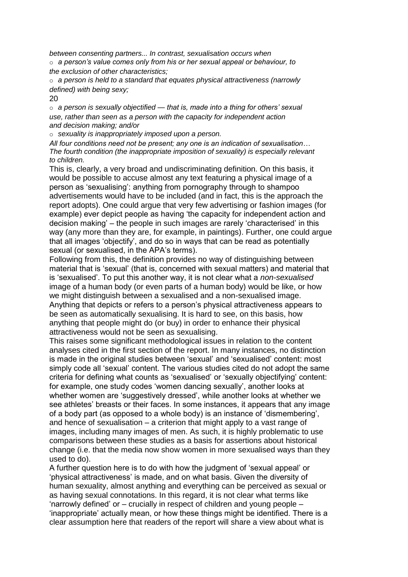*between consenting partners... In contrast, sexualisation occurs when* o *a person's value comes only from his or her sexual appeal or behaviour, to the exclusion of other characteristics;*

o *a person is held to a standard that equates physical attractiveness (narrowly defined) with being sexy;*

20

o *a person is sexually objectified — that is, made into a thing for others' sexual use, rather than seen as a person with the capacity for independent action and decision making; and/or*

o *sexuality is inappropriately imposed upon a person.*

*All four conditions need not be present; any one is an indication of sexualisation… The fourth condition (the inappropriate imposition of sexuality) is especially relevant to children.*

This is, clearly, a very broad and undiscriminating definition. On this basis, it would be possible to accuse almost any text featuring a physical image of a person as 'sexualising': anything from pornography through to shampoo advertisements would have to be included (and in fact, this is the approach the report adopts). One could argue that very few advertising or fashion images (for example) ever depict people as having 'the capacity for independent action and decision making' – the people in such images are rarely 'characterised' in this way (any more than they are, for example, in paintings). Further, one could argue that all images 'objectify', and do so in ways that can be read as potentially sexual (or sexualised, in the APA's terms).

Following from this, the definition provides no way of distinguishing between material that is 'sexual' (that is, concerned with sexual matters) and material that is 'sexualised'. To put this another way, it is not clear what a *non-sexualised* image of a human body (or even parts of a human body) would be like, or how we might distinguish between a sexualised and a non-sexualised image. Anything that depicts or refers to a person's physical attractiveness appears to be seen as automatically sexualising. It is hard to see, on this basis, how anything that people might do (or buy) in order to enhance their physical attractiveness would not be seen as sexualising.

This raises some significant methodological issues in relation to the content analyses cited in the first section of the report. In many instances, no distinction is made in the original studies between 'sexual' and 'sexualised' content: most simply code all 'sexual' content. The various studies cited do not adopt the same criteria for defining what counts as 'sexualised' or 'sexually objectifying' content: for example, one study codes 'women dancing sexually', another looks at whether women are 'suggestively dressed', while another looks at whether we see athletes' breasts or their faces. In some instances, it appears that any image of a body part (as opposed to a whole body) is an instance of 'dismembering', and hence of sexualisation – a criterion that might apply to a vast range of images, including many images of men. As such, it is highly problematic to use comparisons between these studies as a basis for assertions about historical change (i.e. that the media now show women in more sexualised ways than they used to do).

A further question here is to do with how the judgment of 'sexual appeal' or 'physical attractiveness' is made, and on what basis. Given the diversity of human sexuality, almost anything and everything can be perceived as sexual or as having sexual connotations. In this regard, it is not clear what terms like 'narrowly defined' or – crucially in respect of children and young people – 'inappropriate' actually mean, or how these things might be identified. There is a clear assumption here that readers of the report will share a view about what is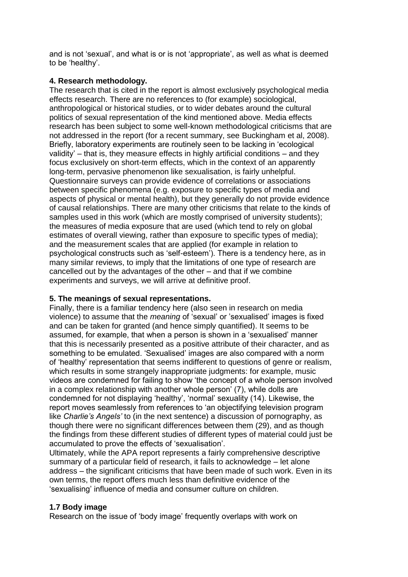and is not 'sexual', and what is or is not 'appropriate', as well as what is deemed to be 'healthy'.

#### **4. Research methodology.**

The research that is cited in the report is almost exclusively psychological media effects research. There are no references to (for example) sociological, anthropological or historical studies, or to wider debates around the cultural politics of sexual representation of the kind mentioned above. Media effects research has been subject to some well-known methodological criticisms that are not addressed in the report (for a recent summary, see Buckingham et al, 2008). Briefly, laboratory experiments are routinely seen to be lacking in 'ecological validity' – that is, they measure effects in highly artificial conditions – and they focus exclusively on short-term effects, which in the context of an apparently long-term, pervasive phenomenon like sexualisation, is fairly unhelpful. Questionnaire surveys can provide evidence of correlations or associations between specific phenomena (e.g. exposure to specific types of media and aspects of physical or mental health), but they generally do not provide evidence of causal relationships. There are many other criticisms that relate to the kinds of samples used in this work (which are mostly comprised of university students); the measures of media exposure that are used (which tend to rely on global estimates of overall viewing, rather than exposure to specific types of media); and the measurement scales that are applied (for example in relation to psychological constructs such as 'self-esteem'). There is a tendency here, as in many similar reviews, to imply that the limitations of one type of research are cancelled out by the advantages of the other – and that if we combine experiments and surveys, we will arrive at definitive proof.

## **5. The meanings of sexual representations.**

Finally, there is a familiar tendency here (also seen in research on media violence) to assume that the *meaning* of 'sexual' or 'sexualised' images is fixed and can be taken for granted (and hence simply quantified). It seems to be assumed, for example, that when a person is shown in a 'sexualised' manner that this is necessarily presented as a positive attribute of their character, and as something to be emulated. 'Sexualised' images are also compared with a norm of 'healthy' representation that seems indifferent to questions of genre or realism, which results in some strangely inappropriate judgments: for example, music videos are condemned for failing to show 'the concept of a whole person involved in a complex relationship with another whole person' (7), while dolls are condemned for not displaying 'healthy', 'normal' sexuality (14). Likewise, the report moves seamlessly from references to 'an objectifying television program like *Charlie's Angels'* to (in the next sentence) a discussion of pornography, as though there were no significant differences between them (29), and as though the findings from these different studies of different types of material could just be accumulated to prove the effects of 'sexualisation'.

Ultimately, while the APA report represents a fairly comprehensive descriptive summary of a particular field of research, it fails to acknowledge – let alone address – the significant criticisms that have been made of such work. Even in its own terms, the report offers much less than definitive evidence of the 'sexualising' influence of media and consumer culture on children.

## **1.7 Body image**

Research on the issue of 'body image' frequently overlaps with work on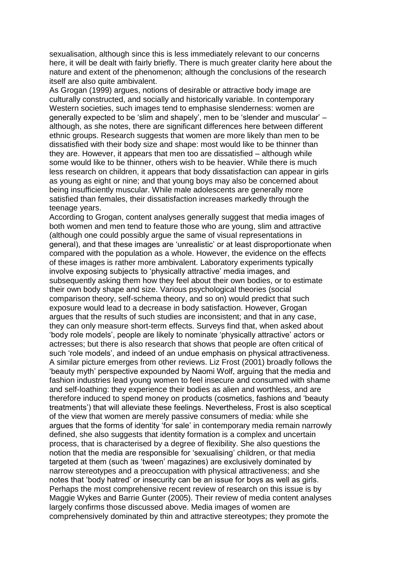sexualisation, although since this is less immediately relevant to our concerns here, it will be dealt with fairly briefly. There is much greater clarity here about the nature and extent of the phenomenon; although the conclusions of the research itself are also quite ambivalent.

As Grogan (1999) argues, notions of desirable or attractive body image are culturally constructed, and socially and historically variable. In contemporary Western societies, such images tend to emphasise slenderness: women are generally expected to be 'slim and shapely', men to be 'slender and muscular' – although, as she notes, there are significant differences here between different ethnic groups. Research suggests that women are more likely than men to be dissatisfied with their body size and shape: most would like to be thinner than they are. However, it appears that men too are dissatisfied – although while some would like to be thinner, others wish to be heavier. While there is much less research on children, it appears that body dissatisfaction can appear in girls as young as eight or nine; and that young boys may also be concerned about being insufficiently muscular. While male adolescents are generally more satisfied than females, their dissatisfaction increases markedly through the teenage years.

According to Grogan, content analyses generally suggest that media images of both women and men tend to feature those who are young, slim and attractive (although one could possibly argue the same of visual representations in general), and that these images are 'unrealistic' or at least disproportionate when compared with the population as a whole. However, the evidence on the effects of these images is rather more ambivalent. Laboratory experiments typically involve exposing subjects to 'physically attractive' media images, and subsequently asking them how they feel about their own bodies, or to estimate their own body shape and size. Various psychological theories (social comparison theory, self-schema theory, and so on) would predict that such exposure would lead to a decrease in body satisfaction. However, Grogan argues that the results of such studies are inconsistent; and that in any case, they can only measure short-term effects. Surveys find that, when asked about 'body role models', people are likely to nominate 'physically attractive' actors or actresses; but there is also research that shows that people are often critical of such 'role models', and indeed of an undue emphasis on physical attractiveness. A similar picture emerges from other reviews. Liz Frost (2001) broadly follows the 'beauty myth' perspective expounded by Naomi Wolf, arguing that the media and fashion industries lead young women to feel insecure and consumed with shame and self-loathing: they experience their bodies as alien and worthless, and are therefore induced to spend money on products (cosmetics, fashions and 'beauty treatments') that will alleviate these feelings. Nevertheless, Frost is also sceptical of the view that women are merely passive consumers of media: while she argues that the forms of identity 'for sale' in contemporary media remain narrowly defined, she also suggests that identity formation is a complex and uncertain process, that is characterised by a degree of flexibility. She also questions the notion that the media are responsible for 'sexualising' children, or that media targeted at them (such as 'tween' magazines) are exclusively dominated by narrow stereotypes and a preoccupation with physical attractiveness; and she notes that 'body hatred' or insecurity can be an issue for boys as well as girls. Perhaps the most comprehensive recent review of research on this issue is by Maggie Wykes and Barrie Gunter (2005). Their review of media content analyses largely confirms those discussed above. Media images of women are comprehensively dominated by thin and attractive stereotypes; they promote the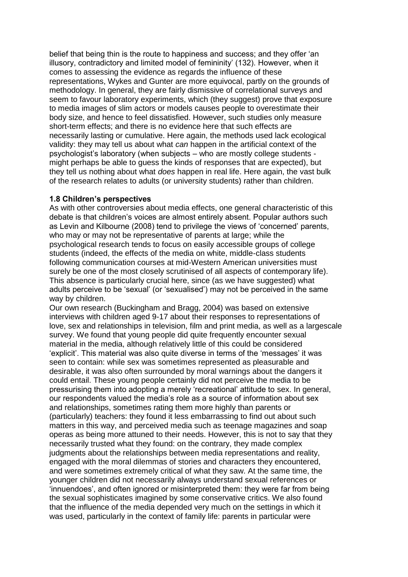belief that being thin is the route to happiness and success; and they offer 'an illusory, contradictory and limited model of femininity' (132). However, when it comes to assessing the evidence as regards the influence of these representations, Wykes and Gunter are more equivocal, partly on the grounds of methodology. In general, they are fairly dismissive of correlational surveys and seem to favour laboratory experiments, which (they suggest) prove that exposure to media images of slim actors or models causes people to overestimate their body size, and hence to feel dissatisfied. However, such studies only measure short-term effects; and there is no evidence here that such effects are necessarily lasting or cumulative. Here again, the methods used lack ecological validity: they may tell us about what *can* happen in the artificial context of the psychologist's laboratory (when subjects – who are mostly college students might perhaps be able to guess the kinds of responses that are expected), but they tell us nothing about what *does* happen in real life. Here again, the vast bulk of the research relates to adults (or university students) rather than children.

#### **1.8 Children's perspectives**

As with other controversies about media effects, one general characteristic of this debate is that children's voices are almost entirely absent. Popular authors such as Levin and Kilbourne (2008) tend to privilege the views of 'concerned' parents, who may or may not be representative of parents at large; while the psychological research tends to focus on easily accessible groups of college students (indeed, the effects of the media on white, middle-class students following communication courses at mid-Western American universities must surely be one of the most closely scrutinised of all aspects of contemporary life). This absence is particularly crucial here, since (as we have suggested) what adults perceive to be 'sexual' (or 'sexualised') may not be perceived in the same way by children.

Our own research (Buckingham and Bragg, 2004) was based on extensive interviews with children aged 9-17 about their responses to representations of love, sex and relationships in television, film and print media, as well as a largescale survey. We found that young people did quite frequently encounter sexual material in the media, although relatively little of this could be considered 'explicit'. This material was also quite diverse in terms of the 'messages' it was seen to contain: while sex was sometimes represented as pleasurable and desirable, it was also often surrounded by moral warnings about the dangers it could entail. These young people certainly did not perceive the media to be pressurising them into adopting a merely 'recreational' attitude to sex. In general, our respondents valued the media's role as a source of information about sex and relationships, sometimes rating them more highly than parents or (particularly) teachers: they found it less embarrassing to find out about such matters in this way, and perceived media such as teenage magazines and soap operas as being more attuned to their needs. However, this is not to say that they necessarily trusted what they found: on the contrary, they made complex judgments about the relationships between media representations and reality, engaged with the moral dilemmas of stories and characters they encountered, and were sometimes extremely critical of what they saw. At the same time, the younger children did not necessarily always understand sexual references or 'innuendoes', and often ignored or misinterpreted them: they were far from being the sexual sophisticates imagined by some conservative critics. We also found that the influence of the media depended very much on the settings in which it was used, particularly in the context of family life: parents in particular were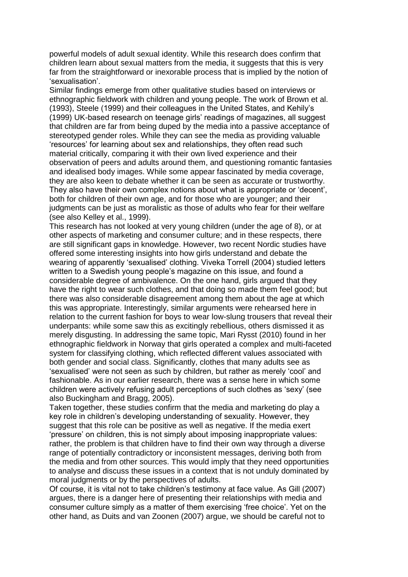powerful models of adult sexual identity. While this research does confirm that children learn about sexual matters from the media, it suggests that this is very far from the straightforward or inexorable process that is implied by the notion of 'sexualisation'.

Similar findings emerge from other qualitative studies based on interviews or ethnographic fieldwork with children and young people. The work of Brown et al. (1993), Steele (1999) and their colleagues in the United States, and Kehily's (1999) UK-based research on teenage girls' readings of magazines, all suggest that children are far from being duped by the media into a passive acceptance of stereotyped gender roles. While they can see the media as providing valuable 'resources' for learning about sex and relationships, they often read such material critically, comparing it with their own lived experience and their observation of peers and adults around them, and questioning romantic fantasies and idealised body images. While some appear fascinated by media coverage, they are also keen to debate whether it can be seen as accurate or trustworthy. They also have their own complex notions about what is appropriate or 'decent', both for children of their own age, and for those who are younger; and their judgments can be just as moralistic as those of adults who fear for their welfare (see also Kelley et al., 1999).

This research has not looked at very young children (under the age of 8), or at other aspects of marketing and consumer culture; and in these respects, there are still significant gaps in knowledge. However, two recent Nordic studies have offered some interesting insights into how girls understand and debate the wearing of apparently 'sexualised' clothing. Viveka Torrell (2004) studied letters written to a Swedish young people's magazine on this issue, and found a considerable degree of ambivalence. On the one hand, girls argued that they have the right to wear such clothes, and that doing so made them feel good; but there was also considerable disagreement among them about the age at which this was appropriate. Interestingly, similar arguments were rehearsed here in relation to the current fashion for boys to wear low-slung trousers that reveal their underpants: while some saw this as excitingly rebellious, others dismissed it as merely disgusting. In addressing the same topic, Mari Rysst (2010) found in her ethnographic fieldwork in Norway that girls operated a complex and multi-faceted system for classifying clothing, which reflected different values associated with both gender and social class. Significantly, clothes that many adults see as 'sexualised' were not seen as such by children, but rather as merely 'cool' and fashionable. As in our earlier research, there was a sense here in which some children were actively refusing adult perceptions of such clothes as 'sexy' (see also Buckingham and Bragg, 2005).

Taken together, these studies confirm that the media and marketing do play a key role in children's developing understanding of sexuality. However, they suggest that this role can be positive as well as negative. If the media exert 'pressure' on children, this is not simply about imposing inappropriate values: rather, the problem is that children have to find their own way through a diverse range of potentially contradictory or inconsistent messages, deriving both from the media and from other sources. This would imply that they need opportunities to analyse and discuss these issues in a context that is not unduly dominated by moral judgments or by the perspectives of adults.

Of course, it is vital not to take children's testimony at face value. As Gill (2007) argues, there is a danger here of presenting their relationships with media and consumer culture simply as a matter of them exercising 'free choice'. Yet on the other hand, as Duits and van Zoonen (2007) argue, we should be careful not to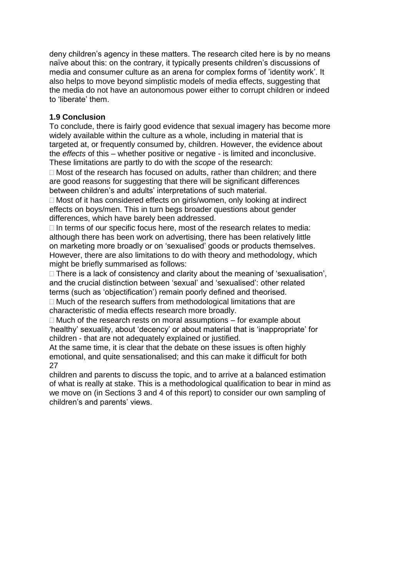deny children's agency in these matters. The research cited here is by no means naïve about this: on the contrary, it typically presents children's discussions of media and consumer culture as an arena for complex forms of 'identity work'. It also helps to move beyond simplistic models of media effects, suggesting that the media do not have an autonomous power either to corrupt children or indeed to 'liberate' them.

## **1.9 Conclusion**

To conclude, there is fairly good evidence that sexual imagery has become more widely available within the culture as a whole, including in material that is targeted at, or frequently consumed by, children. However, the evidence about the *effects* of this – whether positive or negative - is limited and inconclusive. These limitations are partly to do with the *scope* of the research:

□ Most of the research has focused on adults, rather than children; and there are good reasons for suggesting that there will be significant differences between children's and adults' interpretations of such material.

□ Most of it has considered effects on girls/women, only looking at indirect effects on boys/men. This in turn begs broader questions about gender differences, which have barely been addressed.

 $\Box$  In terms of our specific focus here, most of the research relates to media: although there has been work on advertising, there has been relatively little on marketing more broadly or on 'sexualised' goods or products themselves. However, there are also limitations to do with theory and methodology, which might be briefly summarised as follows:

 $\Box$  There is a lack of consistency and clarity about the meaning of 'sexualisation', and the crucial distinction between 'sexual' and 'sexualised': other related terms (such as 'objectification') remain poorly defined and theorised.

 $\Box$  Much of the research suffers from methodological limitations that are characteristic of media effects research more broadly.

 $\Box$  Much of the research rests on moral assumptions  $-$  for example about 'healthy' sexuality, about 'decency' or about material that is 'inappropriate' for children - that are not adequately explained or justified.

At the same time, it is clear that the debate on these issues is often highly emotional, and quite sensationalised; and this can make it difficult for both 27

children and parents to discuss the topic, and to arrive at a balanced estimation of what is really at stake. This is a methodological qualification to bear in mind as we move on (in Sections 3 and 4 of this report) to consider our own sampling of children's and parents' views.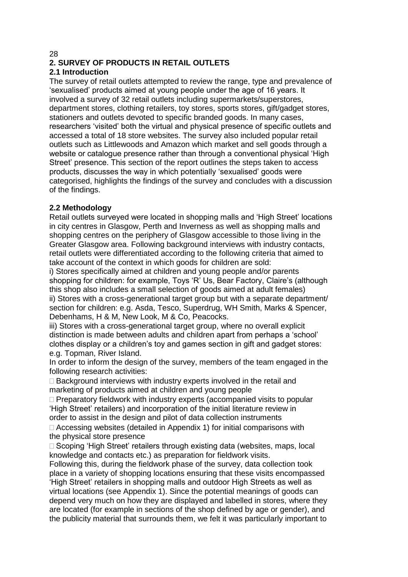# **2. SURVEY OF PRODUCTS IN RETAIL OUTLETS 2.1 Introduction**

The survey of retail outlets attempted to review the range, type and prevalence of 'sexualised' products aimed at young people under the age of 16 years. It involved a survey of 32 retail outlets including supermarkets/superstores, department stores, clothing retailers, toy stores, sports stores, gift/gadget stores, stationers and outlets devoted to specific branded goods. In many cases, researchers 'visited' both the virtual and physical presence of specific outlets and accessed a total of 18 store websites. The survey also included popular retail outlets such as Littlewoods and Amazon which market and sell goods through a website or catalogue presence rather than through a conventional physical 'High Street' presence. This section of the report outlines the steps taken to access products, discusses the way in which potentially 'sexualised' goods were categorised, highlights the findings of the survey and concludes with a discussion of the findings.

## **2.2 Methodology**

Retail outlets surveyed were located in shopping malls and 'High Street' locations in city centres in Glasgow, Perth and Inverness as well as shopping malls and shopping centres on the periphery of Glasgow accessible to those living in the Greater Glasgow area. Following background interviews with industry contacts, retail outlets were differentiated according to the following criteria that aimed to take account of the context in which goods for children are sold:

i) Stores specifically aimed at children and young people and/or parents shopping for children: for example, Toys 'R' Us, Bear Factory, Claire's (although this shop also includes a small selection of goods aimed at adult females) ii) Stores with a cross-generational target group but with a separate department/ section for children: e.g. Asda, Tesco, Superdrug, WH Smith, Marks & Spencer, Debenhams, H & M, New Look, M & Co, Peacocks.

iii) Stores with a cross-generational target group, where no overall explicit distinction is made between adults and children apart from perhaps a 'school' clothes display or a children's toy and games section in gift and gadget stores: e.g. Topman, River Island.

In order to inform the design of the survey, members of the team engaged in the following research activities:

 $\Box$  Background interviews with industry experts involved in the retail and marketing of products aimed at children and young people

 $\Box$  Preparatory fieldwork with industry experts (accompanied visits to popular 'High Street' retailers) and incorporation of the initial literature review in order to assist in the design and pilot of data collection instruments

 $\Box$  Accessing websites (detailed in Appendix 1) for initial comparisons with the physical store presence

□ Scoping 'High Street' retailers through existing data (websites, maps, local knowledge and contacts etc.) as preparation for fieldwork visits.

Following this, during the fieldwork phase of the survey, data collection took place in a variety of shopping locations ensuring that these visits encompassed 'High Street' retailers in shopping malls and outdoor High Streets as well as virtual locations (see Appendix 1). Since the potential meanings of goods can depend very much on how they are displayed and labelled in stores, where they are located (for example in sections of the shop defined by age or gender), and the publicity material that surrounds them, we felt it was particularly important to

#### 28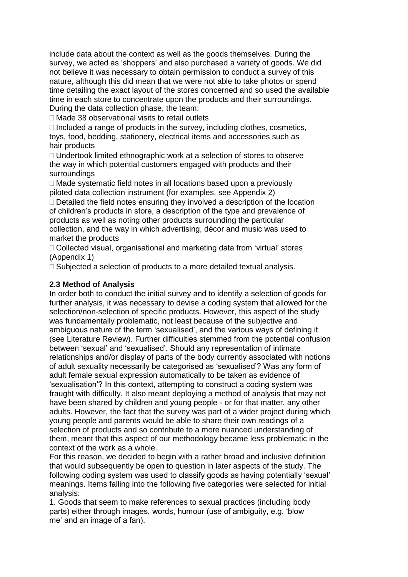include data about the context as well as the goods themselves. During the survey, we acted as 'shoppers' and also purchased a variety of goods. We did not believe it was necessary to obtain permission to conduct a survey of this nature, although this did mean that we were not able to take photos or spend time detailing the exact layout of the stores concerned and so used the available time in each store to concentrate upon the products and their surroundings. During the data collection phase, the team:

 $\Box$  Made 38 observational visits to retail outlets

 $\Box$  Included a range of products in the survey, including clothes, cosmetics, toys, food, bedding, stationery, electrical items and accessories such as hair products

 $\Box$  Undertook limited ethnographic work at a selection of stores to observe the way in which potential customers engaged with products and their surroundings

 $\Box$  Made systematic field notes in all locations based upon a previously piloted data collection instrument (for examples, see Appendix 2)  $\Box$  Detailed the field notes ensuring they involved a description of the location of children's products in store, a description of the type and prevalence of products as well as noting other products surrounding the particular collection, and the way in which advertising, décor and music was used to market the products

 $\Box$  Collected visual, organisational and marketing data from 'virtual' stores (Appendix 1)

□ Subjected a selection of products to a more detailed textual analysis.

#### **2.3 Method of Analysis**

In order both to conduct the initial survey and to identify a selection of goods for further analysis, it was necessary to devise a coding system that allowed for the selection/non-selection of specific products. However, this aspect of the study was fundamentally problematic, not least because of the subjective and ambiguous nature of the term 'sexualised', and the various ways of defining it (see Literature Review). Further difficulties stemmed from the potential confusion between 'sexual' and 'sexualised'. Should any representation of intimate relationships and/or display of parts of the body currently associated with notions of adult sexuality necessarily be categorised as 'sexualised'? Was any form of adult female sexual expression automatically to be taken as evidence of 'sexualisation'? In this context, attempting to construct a coding system was fraught with difficulty. It also meant deploying a method of analysis that may not have been shared by children and young people - or for that matter, any other adults. However, the fact that the survey was part of a wider project during which young people and parents would be able to share their own readings of a selection of products and so contribute to a more nuanced understanding of them, meant that this aspect of our methodology became less problematic in the context of the work as a whole.

For this reason, we decided to begin with a rather broad and inclusive definition that would subsequently be open to question in later aspects of the study. The following coding system was used to classify goods as having potentially 'sexual' meanings. Items falling into the following five categories were selected for initial analysis:

1. Goods that seem to make references to sexual practices (including body parts) either through images, words, humour (use of ambiguity, e.g. 'blow me' and an image of a fan).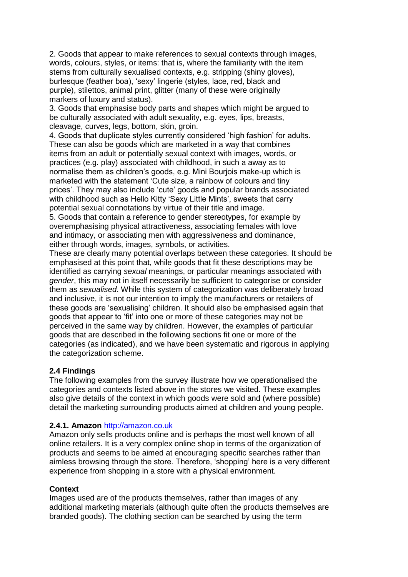2. Goods that appear to make references to sexual contexts through images, words, colours, styles, or items: that is, where the familiarity with the item stems from culturally sexualised contexts, e.g. stripping (shiny gloves), burlesque (feather boa), 'sexy' lingerie (styles, lace, red, black and purple), stilettos, animal print, glitter (many of these were originally markers of luxury and status).

3. Goods that emphasise body parts and shapes which might be argued to be culturally associated with adult sexuality, e.g. eyes, lips, breasts, cleavage, curves, legs, bottom, skin, groin.

4. Goods that duplicate styles currently considered 'high fashion' for adults. These can also be goods which are marketed in a way that combines items from an adult or potentially sexual context with images, words, or practices (e.g. play) associated with childhood, in such a away as to normalise them as children's goods, e.g. Mini Bourjois make-up which is marketed with the statement 'Cute size, a rainbow of colours and tiny prices'. They may also include 'cute' goods and popular brands associated with childhood such as Hello Kitty 'Sexy Little Mints', sweets that carry potential sexual connotations by virtue of their title and image.

5. Goods that contain a reference to gender stereotypes, for example by overemphasising physical attractiveness, associating females with love and intimacy, or associating men with aggressiveness and dominance, either through words, images, symbols, or activities.

These are clearly many potential overlaps between these categories. It should be emphasised at this point that, while goods that fit these descriptions may be identified as carrying *sexual* meanings, or particular meanings associated with *gender*, this may not in itself necessarily be sufficient to categorise or consider them as *sexualised*. While this system of categorization was deliberately broad and inclusive, it is not our intention to imply the manufacturers or retailers of these goods are 'sexualising' children. It should also be emphasised again that goods that appear to 'fit' into one or more of these categories may not be perceived in the same way by children. However, the examples of particular goods that are described in the following sections fit one or more of the categories (as indicated), and we have been systematic and rigorous in applying the categorization scheme.

## **2.4 Findings**

The following examples from the survey illustrate how we operationalised the categories and contexts listed above in the stores we visited. These examples also give details of the context in which goods were sold and (where possible) detail the marketing surrounding products aimed at children and young people.

## **2.4.1. Amazon** http://amazon.co.uk

Amazon only sells products online and is perhaps the most well known of all online retailers. It is a very complex online shop in terms of the organization of products and seems to be aimed at encouraging specific searches rather than aimless browsing through the store. Therefore, 'shopping' here is a very different experience from shopping in a store with a physical environment.

#### **Context**

Images used are of the products themselves, rather than images of any additional marketing materials (although quite often the products themselves are branded goods). The clothing section can be searched by using the term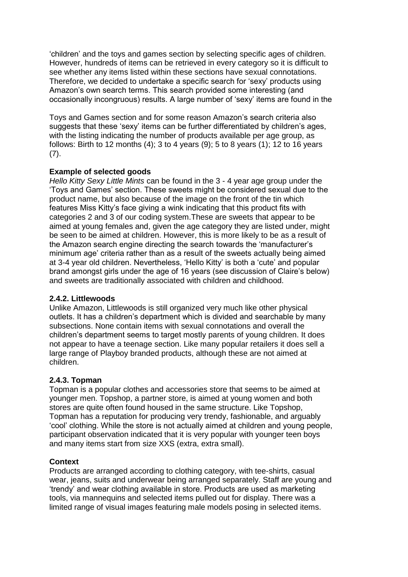'children' and the toys and games section by selecting specific ages of children. However, hundreds of items can be retrieved in every category so it is difficult to see whether any items listed within these sections have sexual connotations. Therefore, we decided to undertake a specific search for 'sexy' products using Amazon's own search terms. This search provided some interesting (and occasionally incongruous) results. A large number of 'sexy' items are found in the

Toys and Games section and for some reason Amazon's search criteria also suggests that these 'sexy' items can be further differentiated by children's ages, with the listing indicating the number of products available per age group, as follows: Birth to 12 months (4); 3 to 4 years (9); 5 to 8 years (1); 12 to 16 years  $(7).$ 

#### **Example of selected goods**

*Hello Kitty Sexy Little Mints* can be found in the 3 - 4 year age group under the 'Toys and Games' section. These sweets might be considered sexual due to the product name, but also because of the image on the front of the tin which features Miss Kitty's face giving a wink indicating that this product fits with categories 2 and 3 of our coding system.These are sweets that appear to be aimed at young females and, given the age category they are listed under, might be seen to be aimed at children. However, this is more likely to be as a result of the Amazon search engine directing the search towards the 'manufacturer's minimum age' criteria rather than as a result of the sweets actually being aimed at 3-4 year old children. Nevertheless, 'Hello Kitty' is both a 'cute' and popular brand amongst girls under the age of 16 years (see discussion of Claire's below) and sweets are traditionally associated with children and childhood.

## **2.4.2. Littlewoods**

Unlike Amazon, Littlewoods is still organized very much like other physical outlets. It has a children's department which is divided and searchable by many subsections. None contain items with sexual connotations and overall the children's department seems to target mostly parents of young children. It does not appear to have a teenage section. Like many popular retailers it does sell a large range of Playboy branded products, although these are not aimed at children.

## **2.4.3. Topman**

Topman is a popular clothes and accessories store that seems to be aimed at younger men. Topshop, a partner store, is aimed at young women and both stores are quite often found housed in the same structure. Like Topshop, Topman has a reputation for producing very trendy, fashionable, and arguably 'cool' clothing. While the store is not actually aimed at children and young people, participant observation indicated that it is very popular with younger teen boys and many items start from size XXS (extra, extra small).

## **Context**

Products are arranged according to clothing category, with tee-shirts, casual wear, jeans, suits and underwear being arranged separately. Staff are young and 'trendy' and wear clothing available in store. Products are used as marketing tools, via mannequins and selected items pulled out for display. There was a limited range of visual images featuring male models posing in selected items.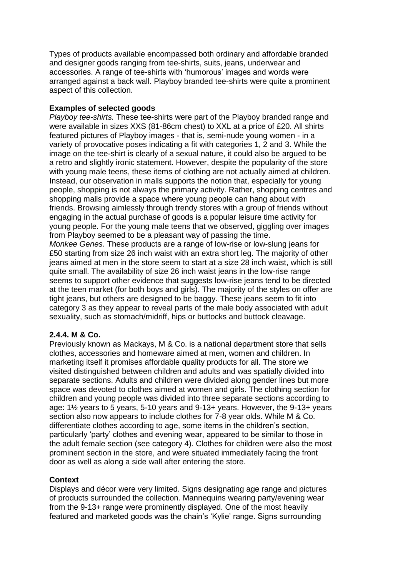Types of products available encompassed both ordinary and affordable branded and designer goods ranging from tee-shirts, suits, jeans, underwear and accessories. A range of tee-shirts with 'humorous' images and words were arranged against a back wall. Playboy branded tee-shirts were quite a prominent aspect of this collection.

#### **Examples of selected goods**

*Playboy tee-shirts.* These tee-shirts were part of the Playboy branded range and were available in sizes XXS (81-86cm chest) to XXL at a price of £20. All shirts featured pictures of Playboy images - that is, semi-nude young women - in a variety of provocative poses indicating a fit with categories 1, 2 and 3. While the image on the tee-shirt is clearly of a sexual nature, it could also be argued to be a retro and slightly ironic statement. However, despite the popularity of the store with young male teens, these items of clothing are not actually aimed at children. Instead, our observation in malls supports the notion that, especially for young people, shopping is not always the primary activity. Rather, shopping centres and shopping malls provide a space where young people can hang about with friends. Browsing aimlessly through trendy stores with a group of friends without engaging in the actual purchase of goods is a popular leisure time activity for young people. For the young male teens that we observed, giggling over images from Playboy seemed to be a pleasant way of passing the time. *Monkee Genes.* These products are a range of low-rise or low-slung jeans for £50 starting from size 26 inch waist with an extra short leg. The majority of other jeans aimed at men in the store seem to start at a size 28 inch waist, which is still quite small. The availability of size 26 inch waist jeans in the low-rise range

seems to support other evidence that suggests low-rise jeans tend to be directed at the teen market (for both boys and girls). The majority of the styles on offer are tight jeans, but others are designed to be baggy. These jeans seem to fit into category 3 as they appear to reveal parts of the male body associated with adult sexuality, such as stomach/midriff, hips or buttocks and buttock cleavage.

## **2.4.4. M & Co.**

Previously known as Mackays, M & Co. is a national department store that sells clothes, accessories and homeware aimed at men, women and children. In marketing itself it promises affordable quality products for all. The store we visited distinguished between children and adults and was spatially divided into separate sections. Adults and children were divided along gender lines but more space was devoted to clothes aimed at women and girls. The clothing section for children and young people was divided into three separate sections according to age: 1½ years to 5 years, 5-10 years and 9-13+ years. However, the 9-13+ years section also now appears to include clothes for 7-8 year olds. While M & Co. differentiate clothes according to age, some items in the children's section, particularly 'party' clothes and evening wear, appeared to be similar to those in the adult female section (see category 4). Clothes for children were also the most prominent section in the store, and were situated immediately facing the front door as well as along a side wall after entering the store.

## **Context**

Displays and décor were very limited. Signs designating age range and pictures of products surrounded the collection. Mannequins wearing party/evening wear from the 9-13+ range were prominently displayed. One of the most heavily featured and marketed goods was the chain's 'Kylie' range. Signs surrounding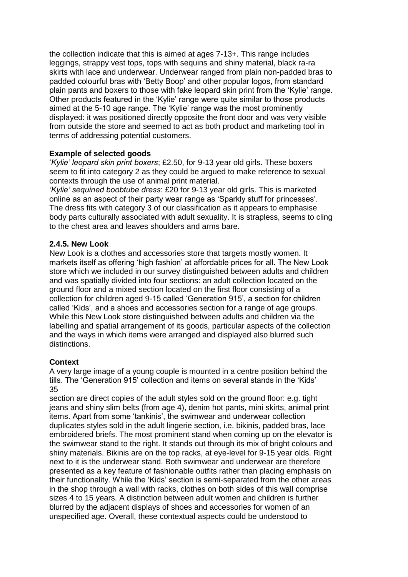the collection indicate that this is aimed at ages 7-13+. This range includes leggings, strappy vest tops, tops with sequins and shiny material, black ra-ra skirts with lace and underwear. Underwear ranged from plain non-padded bras to padded colourful bras with 'Betty Boop' and other popular logos, from standard plain pants and boxers to those with fake leopard skin print from the 'Kylie' range. Other products featured in the 'Kylie' range were quite similar to those products aimed at the 5-10 age range. The 'Kylie' range was the most prominently displayed: it was positioned directly opposite the front door and was very visible from outside the store and seemed to act as both product and marketing tool in terms of addressing potential customers.

## **Example of selected goods**

'*Kylie' leopard skin print boxers*; £2.50, for 9-13 year old girls. These boxers seem to fit into category 2 as they could be argued to make reference to sexual contexts through the use of animal print material.

*'Kylie' sequined boobtube dress*: £20 for 9-13 year old girls. This is marketed online as an aspect of their party wear range as 'Sparkly stuff for princesses'. The dress fits with category 3 of our classification as it appears to emphasise body parts culturally associated with adult sexuality. It is strapless, seems to cling to the chest area and leaves shoulders and arms bare.

#### **2.4.5. New Look**

New Look is a clothes and accessories store that targets mostly women. It markets itself as offering 'high fashion' at affordable prices for all. The New Look store which we included in our survey distinguished between adults and children and was spatially divided into four sections: an adult collection located on the ground floor and a mixed section located on the first floor consisting of a collection for children aged 9-15 called 'Generation 915', a section for children called 'Kids', and a shoes and accessories section for a range of age groups. While this New Look store distinguished between adults and children via the labelling and spatial arrangement of its goods, particular aspects of the collection and the ways in which items were arranged and displayed also blurred such distinctions.

## **Context**

A very large image of a young couple is mounted in a centre position behind the tills. The 'Generation 915' collection and items on several stands in the 'Kids' 35

section are direct copies of the adult styles sold on the ground floor: e.g. tight jeans and shiny slim belts (from age 4), denim hot pants, mini skirts, animal print items. Apart from some 'tankinis', the swimwear and underwear collection duplicates styles sold in the adult lingerie section, i.e. bikinis, padded bras, lace embroidered briefs. The most prominent stand when coming up on the elevator is the swimwear stand to the right. It stands out through its mix of bright colours and shiny materials. Bikinis are on the top racks, at eye-level for 9-15 year olds. Right next to it is the underwear stand. Both swimwear and underwear are therefore presented as a key feature of fashionable outfits rather than placing emphasis on their functionality. While the 'Kids' section is semi-separated from the other areas in the shop through a wall with racks, clothes on both sides of this wall comprise sizes 4 to 15 years. A distinction between adult women and children is further blurred by the adjacent displays of shoes and accessories for women of an unspecified age. Overall, these contextual aspects could be understood to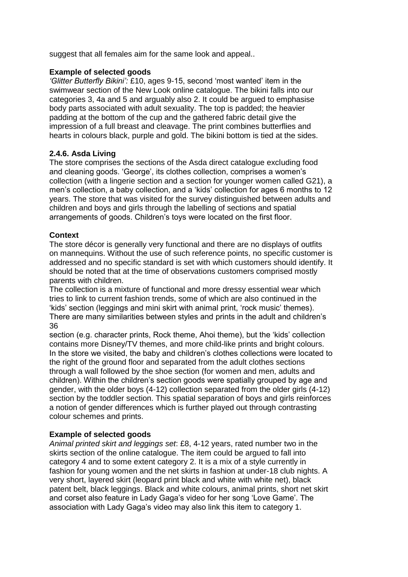suggest that all females aim for the same look and appeal..

#### **Example of selected goods**

*'Glitter Butterfly Bikini':* £10, ages 9-15, second 'most wanted' item in the swimwear section of the New Look online catalogue. The bikini falls into our categories 3, 4a and 5 and arguably also 2. It could be argued to emphasise body parts associated with adult sexuality. The top is padded; the heavier padding at the bottom of the cup and the gathered fabric detail give the impression of a full breast and cleavage. The print combines butterflies and hearts in colours black, purple and gold. The bikini bottom is tied at the sides.

## **2.4.6. Asda Living**

The store comprises the sections of the Asda direct catalogue excluding food and cleaning goods. 'George', its clothes collection, comprises a women's collection (with a lingerie section and a section for younger women called G21), a men's collection, a baby collection, and a 'kids' collection for ages 6 months to 12 years. The store that was visited for the survey distinguished between adults and children and boys and girls through the labelling of sections and spatial arrangements of goods. Children's toys were located on the first floor.

## **Context**

The store décor is generally very functional and there are no displays of outfits on mannequins. Without the use of such reference points, no specific customer is addressed and no specific standard is set with which customers should identify. It should be noted that at the time of observations customers comprised mostly parents with children.

The collection is a mixture of functional and more dressy essential wear which tries to link to current fashion trends, some of which are also continued in the 'kids' section (leggings and mini skirt with animal print, 'rock music' themes). There are many similarities between styles and prints in the adult and children's 36

section (e.g. character prints, Rock theme, Ahoi theme), but the 'kids' collection contains more Disney/TV themes, and more child-like prints and bright colours. In the store we visited, the baby and children's clothes collections were located to the right of the ground floor and separated from the adult clothes sections through a wall followed by the shoe section (for women and men, adults and children). Within the children's section goods were spatially grouped by age and gender, with the older boys (4-12) collection separated from the older girls (4-12) section by the toddler section. This spatial separation of boys and girls reinforces a notion of gender differences which is further played out through contrasting colour schemes and prints.

## **Example of selected goods**

*Animal printed skirt and leggings set*: £8, 4-12 years, rated number two in the skirts section of the online catalogue. The item could be argued to fall into category 4 and to some extent category 2. It is a mix of a style currently in fashion for young women and the net skirts in fashion at under-18 club nights. A very short, layered skirt (leopard print black and white with white net), black patent belt, black leggings. Black and white colours, animal prints, short net skirt and corset also feature in Lady Gaga's video for her song 'Love Game'. The association with Lady Gaga's video may also link this item to category 1.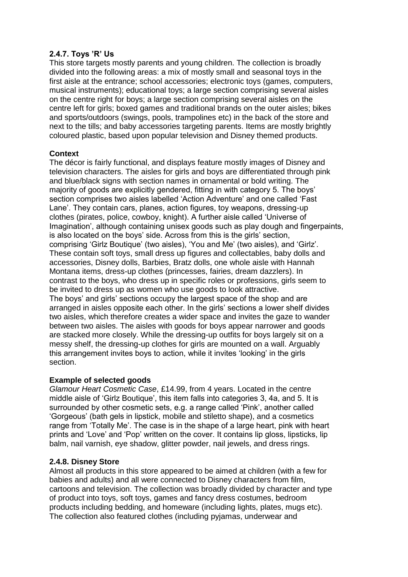#### **2.4.7. Toys 'R' Us**

This store targets mostly parents and young children. The collection is broadly divided into the following areas: a mix of mostly small and seasonal toys in the first aisle at the entrance; school accessories; electronic toys (games, computers, musical instruments); educational toys; a large section comprising several aisles on the centre right for boys; a large section comprising several aisles on the centre left for girls; boxed games and traditional brands on the outer aisles; bikes and sports/outdoors (swings, pools, trampolines etc) in the back of the store and next to the tills; and baby accessories targeting parents. Items are mostly brightly coloured plastic, based upon popular television and Disney themed products.

## **Context**

The décor is fairly functional, and displays feature mostly images of Disney and television characters. The aisles for girls and boys are differentiated through pink and blue/black signs with section names in ornamental or bold writing. The majority of goods are explicitly gendered, fitting in with category 5. The boys' section comprises two aisles labelled 'Action Adventure' and one called 'Fast Lane'. They contain cars, planes, action figures, toy weapons, dressing-up clothes (pirates, police, cowboy, knight). A further aisle called 'Universe of Imagination', although containing unisex goods such as play dough and fingerpaints, is also located on the boys' side. Across from this is the girls' section, comprising 'Girlz Boutique' (two aisles), 'You and Me' (two aisles), and 'Girlz'. These contain soft toys, small dress up figures and collectables, baby dolls and accessories, Disney dolls, Barbies, Bratz dolls, one whole aisle with Hannah Montana items, dress-up clothes (princesses, fairies, dream dazzlers). In contrast to the boys, who dress up in specific roles or professions, girls seem to be invited to dress up as women who use goods to look attractive. The boys' and girls' sections occupy the largest space of the shop and are arranged in aisles opposite each other. In the girls' sections a lower shelf divides two aisles, which therefore creates a wider space and invites the gaze to wander between two aisles. The aisles with goods for boys appear narrower and goods are stacked more closely. While the dressing-up outfits for boys largely sit on a messy shelf, the dressing-up clothes for girls are mounted on a wall. Arguably this arrangement invites boys to action, while it invites 'looking' in the girls section.

## **Example of selected goods**

*Glamour Heart Cosmetic Case*, £14.99, from 4 years. Located in the centre middle aisle of 'Girlz Boutique', this item falls into categories 3, 4a, and 5. It is surrounded by other cosmetic sets, e.g. a range called 'Pink', another called 'Gorgeous' (bath gels in lipstick, mobile and stiletto shape), and a cosmetics range from 'Totally Me'. The case is in the shape of a large heart, pink with heart prints and 'Love' and 'Pop' written on the cover. It contains lip gloss, lipsticks, lip balm, nail varnish, eye shadow, glitter powder, nail jewels, and dress rings.

## **2.4.8. Disney Store**

Almost all products in this store appeared to be aimed at children (with a few for babies and adults) and all were connected to Disney characters from film, cartoons and television. The collection was broadly divided by character and type of product into toys, soft toys, games and fancy dress costumes, bedroom products including bedding, and homeware (including lights, plates, mugs etc). The collection also featured clothes (including pyjamas, underwear and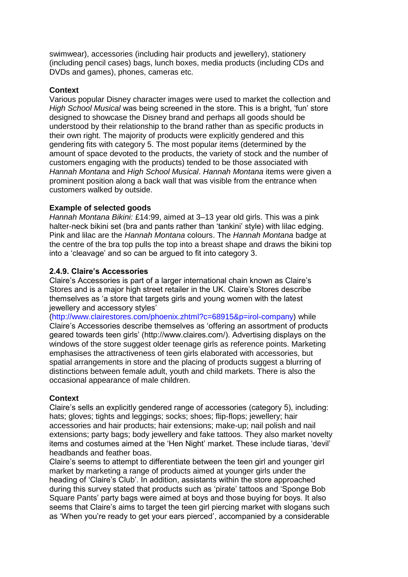swimwear), accessories (including hair products and jewellery), stationery (including pencil cases) bags, lunch boxes, media products (including CDs and DVDs and games), phones, cameras etc.

#### **Context**

Various popular Disney character images were used to market the collection and *High School Musical* was being screened in the store. This is a bright, 'fun' store designed to showcase the Disney brand and perhaps all goods should be understood by their relationship to the brand rather than as specific products in their own right. The majority of products were explicitly gendered and this gendering fits with category 5. The most popular items (determined by the amount of space devoted to the products, the variety of stock and the number of customers engaging with the products) tended to be those associated with *Hannah Montana* and *High School Musical*. *Hannah Montana* items were given a prominent position along a back wall that was visible from the entrance when customers walked by outside.

#### **Example of selected goods**

*Hannah Montana Bikini:* £14:99, aimed at 3–13 year old girls. This was a pink halter-neck bikini set (bra and pants rather than 'tankini' style) with lilac edging. Pink and lilac are the *Hannah Montana* colours. The *Hannah Montana* badge at the centre of the bra top pulls the top into a breast shape and draws the bikini top into a 'cleavage' and so can be argued to fit into category 3.

#### **2.4.9. Claire's Accessories**

Claire's Accessories is part of a larger international chain known as Claire's Stores and is a major high street retailer in the UK. Claire's Stores describe themselves as 'a store that targets girls and young women with the latest jewellery and accessory styles'

(http://www.clairestores.com/phoenix.zhtml?c=68915&p=irol-company) while Claire's Accessories describe themselves as 'offering an assortment of products geared towards teen girls' (http://www.claires.com/). Advertising displays on the windows of the store suggest older teenage girls as reference points. Marketing emphasises the attractiveness of teen girls elaborated with accessories, but spatial arrangements in store and the placing of products suggest a blurring of distinctions between female adult, youth and child markets. There is also the occasional appearance of male children.

## **Context**

Claire's sells an explicitly gendered range of accessories (category 5), including: hats; gloves; tights and leggings; socks; shoes; flip-flops; jewellery; hair accessories and hair products; hair extensions; make-up; nail polish and nail extensions; party bags; body jewellery and fake tattoos. They also market novelty items and costumes aimed at the 'Hen Night' market. These include tiaras, 'devil' headbands and feather boas.

Claire's seems to attempt to differentiate between the teen girl and younger girl market by marketing a range of products aimed at younger girls under the heading of 'Claire's Club'. In addition, assistants within the store approached during this survey stated that products such as 'pirate' tattoos and 'Sponge Bob Square Pants' party bags were aimed at boys and those buying for boys. It also seems that Claire's aims to target the teen girl piercing market with slogans such as 'When you're ready to get your ears pierced', accompanied by a considerable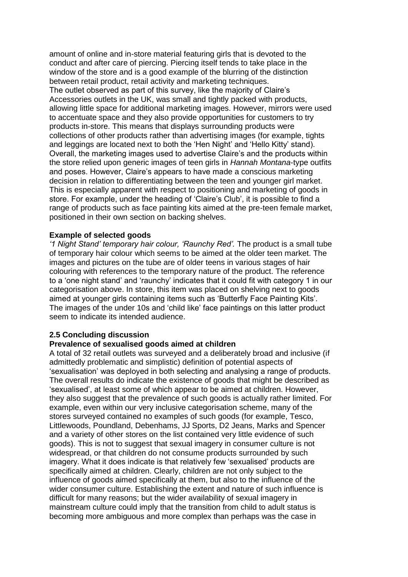amount of online and in-store material featuring girls that is devoted to the conduct and after care of piercing. Piercing itself tends to take place in the window of the store and is a good example of the blurring of the distinction between retail product, retail activity and marketing techniques. The outlet observed as part of this survey, like the majority of Claire's Accessories outlets in the UK, was small and tightly packed with products, allowing little space for additional marketing images. However, mirrors were used to accentuate space and they also provide opportunities for customers to try products in-store. This means that displays surrounding products were collections of other products rather than advertising images (for example, tights and leggings are located next to both the 'Hen Night' and 'Hello Kitty' stand). Overall, the marketing images used to advertise Claire's and the products within the store relied upon generic images of teen girls in *Hannah Montana*-type outfits and poses. However, Claire's appears to have made a conscious marketing decision in relation to differentiating between the teen and younger girl market. This is especially apparent with respect to positioning and marketing of goods in store. For example, under the heading of 'Claire's Club', it is possible to find a range of products such as face painting kits aimed at the pre-teen female market, positioned in their own section on backing shelves.

#### **Example of selected goods**

*'1 Night Stand' temporary hair colour, 'Raunchy Red'.* The product is a small tube of temporary hair colour which seems to be aimed at the older teen market. The images and pictures on the tube are of older teens in various stages of hair colouring with references to the temporary nature of the product. The reference to a 'one night stand' and 'raunchy' indicates that it could fit with category 1 in our categorisation above. In store, this item was placed on shelving next to goods aimed at younger girls containing items such as 'Butterfly Face Painting Kits'. The images of the under 10s and 'child like' face paintings on this latter product seem to indicate its intended audience.

#### **2.5 Concluding discussion**

#### **Prevalence of sexualised goods aimed at children**

A total of 32 retail outlets was surveyed and a deliberately broad and inclusive (if admittedly problematic and simplistic) definition of potential aspects of 'sexualisation' was deployed in both selecting and analysing a range of products. The overall results do indicate the existence of goods that might be described as 'sexualised', at least some of which appear to be aimed at children. However, they also suggest that the prevalence of such goods is actually rather limited. For example, even within our very inclusive categorisation scheme, many of the stores surveyed contained no examples of such goods (for example, Tesco, Littlewoods, Poundland, Debenhams, JJ Sports, D2 Jeans, Marks and Spencer and a variety of other stores on the list contained very little evidence of such goods). This is not to suggest that sexual imagery in consumer culture is not widespread, or that children do not consume products surrounded by such imagery. What it does indicate is that relatively few 'sexualised' products are specifically aimed at children. Clearly, children are not only subject to the influence of goods aimed specifically at them, but also to the influence of the wider consumer culture. Establishing the extent and nature of such influence is difficult for many reasons; but the wider availability of sexual imagery in mainstream culture could imply that the transition from child to adult status is becoming more ambiguous and more complex than perhaps was the case in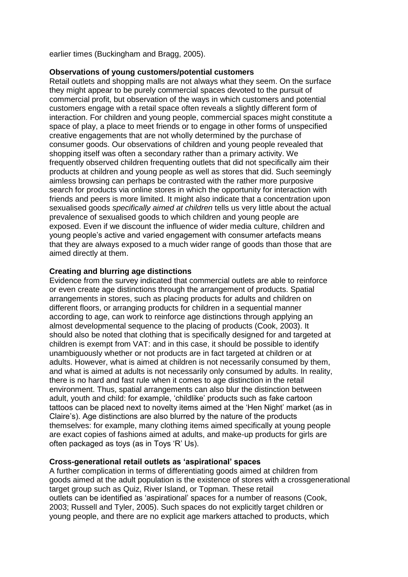earlier times (Buckingham and Bragg, 2005).

#### **Observations of young customers/potential customers**

Retail outlets and shopping malls are not always what they seem. On the surface they might appear to be purely commercial spaces devoted to the pursuit of commercial profit, but observation of the ways in which customers and potential customers engage with a retail space often reveals a slightly different form of interaction. For children and young people, commercial spaces might constitute a space of play, a place to meet friends or to engage in other forms of unspecified creative engagements that are not wholly determined by the purchase of consumer goods. Our observations of children and young people revealed that shopping itself was often a secondary rather than a primary activity. We frequently observed children frequenting outlets that did not specifically aim their products at children and young people as well as stores that did. Such seemingly aimless browsing can perhaps be contrasted with the rather more purposive search for products via online stores in which the opportunity for interaction with friends and peers is more limited. It might also indicate that a concentration upon sexualised goods *specifically aimed at children* tells us very little about the actual prevalence of sexualised goods to which children and young people are exposed. Even if we discount the influence of wider media culture, children and young people's active and varied engagement with consumer artefacts means that they are always exposed to a much wider range of goods than those that are aimed directly at them.

#### **Creating and blurring age distinctions**

Evidence from the survey indicated that commercial outlets are able to reinforce or even create age distinctions through the arrangement of products. Spatial arrangements in stores, such as placing products for adults and children on different floors, or arranging products for children in a sequential manner according to age, can work to reinforce age distinctions through applying an almost developmental sequence to the placing of products (Cook, 2003). It should also be noted that clothing that is specifically designed for and targeted at children is exempt from VAT: and in this case, it should be possible to identify unambiguously whether or not products are in fact targeted at children or at adults. However, what is aimed at children is not necessarily consumed by them, and what is aimed at adults is not necessarily only consumed by adults. In reality, there is no hard and fast rule when it comes to age distinction in the retail environment. Thus, spatial arrangements can also blur the distinction between adult, youth and child: for example, 'childlike' products such as fake cartoon tattoos can be placed next to novelty items aimed at the 'Hen Night' market (as in Claire's). Age distinctions are also blurred by the nature of the products themselves: for example, many clothing items aimed specifically at young people are exact copies of fashions aimed at adults, and make-up products for girls are often packaged as toys (as in Toys 'R' Us).

#### **Cross-generational retail outlets as 'aspirational' spaces**

A further complication in terms of differentiating goods aimed at children from goods aimed at the adult population is the existence of stores with a crossgenerational target group such as Quiz, River Island, or Topman. These retail outlets can be identified as 'aspirational' spaces for a number of reasons (Cook, 2003; Russell and Tyler, 2005). Such spaces do not explicitly target children or young people, and there are no explicit age markers attached to products, which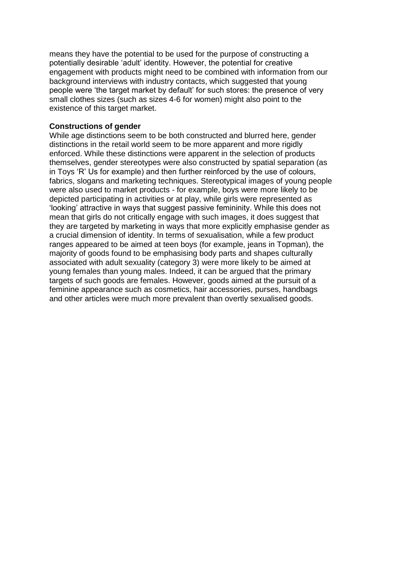means they have the potential to be used for the purpose of constructing a potentially desirable 'adult' identity. However, the potential for creative engagement with products might need to be combined with information from our background interviews with industry contacts, which suggested that young people were 'the target market by default' for such stores: the presence of very small clothes sizes (such as sizes 4-6 for women) might also point to the existence of this target market.

#### **Constructions of gender**

While age distinctions seem to be both constructed and blurred here, gender distinctions in the retail world seem to be more apparent and more rigidly enforced. While these distinctions were apparent in the selection of products themselves, gender stereotypes were also constructed by spatial separation (as in Toys 'R' Us for example) and then further reinforced by the use of colours, fabrics, slogans and marketing techniques. Stereotypical images of young people were also used to market products - for example, boys were more likely to be depicted participating in activities or at play, while girls were represented as 'looking' attractive in ways that suggest passive femininity. While this does not mean that girls do not critically engage with such images, it does suggest that they are targeted by marketing in ways that more explicitly emphasise gender as a crucial dimension of identity. In terms of sexualisation, while a few product ranges appeared to be aimed at teen boys (for example, jeans in Topman), the majority of goods found to be emphasising body parts and shapes culturally associated with adult sexuality (category 3) were more likely to be aimed at young females than young males. Indeed, it can be argued that the primary targets of such goods are females. However, goods aimed at the pursuit of a feminine appearance such as cosmetics, hair accessories, purses, handbags and other articles were much more prevalent than overtly sexualised goods.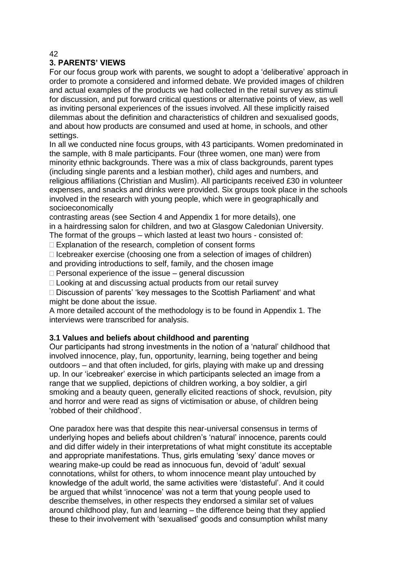## **3. PARENTS' VIEWS**

For our focus group work with parents, we sought to adopt a 'deliberative' approach in order to promote a considered and informed debate. We provided images of children and actual examples of the products we had collected in the retail survey as stimuli for discussion, and put forward critical questions or alternative points of view, as well as inviting personal experiences of the issues involved. All these implicitly raised dilemmas about the definition and characteristics of children and sexualised goods, and about how products are consumed and used at home, in schools, and other settings.

In all we conducted nine focus groups, with 43 participants. Women predominated in the sample, with 8 male participants. Four (three women, one man) were from minority ethnic backgrounds. There was a mix of class backgrounds, parent types (including single parents and a lesbian mother), child ages and numbers, and religious affiliations (Christian and Muslim). All participants received £30 in volunteer expenses, and snacks and drinks were provided. Six groups took place in the schools involved in the research with young people, which were in geographically and socioeconomically

contrasting areas (see Section 4 and Appendix 1 for more details), one in a hairdressing salon for children, and two at Glasgow Caledonian University. The format of the groups – which lasted at least two hours - consisted of:

□ Explanation of the research, completion of consent forms

 $\Box$  Icebreaker exercise (choosing one from a selection of images of children) and providing introductions to self, family, and the chosen image

 $\Box$  Personal experience of the issue – general discussion

 $\Box$  Looking at and discussing actual products from our retail survey

 $\Box$  Discussion of parents' 'key messages to the Scottish Parliament' and what might be done about the issue.

A more detailed account of the methodology is to be found in Appendix 1. The interviews were transcribed for analysis.

## **3.1 Values and beliefs about childhood and parenting**

Our participants had strong investments in the notion of a 'natural' childhood that involved innocence, play, fun, opportunity, learning, being together and being outdoors – and that often included, for girls, playing with make up and dressing up. In our 'icebreaker' exercise in which participants selected an image from a range that we supplied, depictions of children working, a boy soldier, a girl smoking and a beauty queen, generally elicited reactions of shock, revulsion, pity and horror and were read as signs of victimisation or abuse, of children being 'robbed of their childhood'.

One paradox here was that despite this near-universal consensus in terms of underlying hopes and beliefs about children's 'natural' innocence, parents could and did differ widely in their interpretations of what might constitute its acceptable and appropriate manifestations. Thus, girls emulating 'sexy' dance moves or wearing make-up could be read as innocuous fun, devoid of 'adult' sexual connotations, whilst for others, to whom innocence meant play untouched by knowledge of the adult world, the same activities were 'distasteful'. And it could be argued that whilst 'innocence' was not a term that young people used to describe themselves, in other respects they endorsed a similar set of values around childhood play, fun and learning – the difference being that they applied these to their involvement with 'sexualised' goods and consumption whilst many

#### 42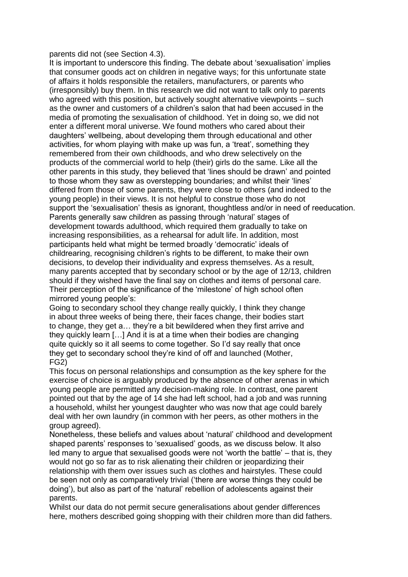parents did not (see Section 4.3).

It is important to underscore this finding. The debate about 'sexualisation' implies that consumer goods act on children in negative ways; for this unfortunate state of affairs it holds responsible the retailers, manufacturers, or parents who (irresponsibly) buy them. In this research we did not want to talk only to parents who agreed with this position, but actively sought alternative viewpoints – such as the owner and customers of a children's salon that had been accused in the media of promoting the sexualisation of childhood. Yet in doing so, we did not enter a different moral universe. We found mothers who cared about their daughters' wellbeing, about developing them through educational and other activities, for whom playing with make up was fun, a 'treat', something they remembered from their own childhoods, and who drew selectively on the products of the commercial world to help (their) girls do the same. Like all the other parents in this study, they believed that 'lines should be drawn' and pointed to those whom they saw as overstepping boundaries; and whilst their 'lines' differed from those of some parents, they were close to others (and indeed to the young people) in their views. It is not helpful to construe those who do not support the 'sexualisation' thesis as ignorant, thoughtless and/or in need of reeducation. Parents generally saw children as passing through 'natural' stages of development towards adulthood, which required them gradually to take on increasing responsibilities, as a rehearsal for adult life. In addition, most participants held what might be termed broadly 'democratic' ideals of childrearing, recognising children's rights to be different, to make their own decisions, to develop their individuality and express themselves. As a result, many parents accepted that by secondary school or by the age of 12/13, children should if they wished have the final say on clothes and items of personal care. Their perception of the significance of the 'milestone' of high school often mirrored young people's:

Going to secondary school they change really quickly, I think they change in about three weeks of being there, their faces change, their bodies start to change, they get a… they're a bit bewildered when they first arrive and they quickly learn […] And it is at a time when their bodies are changing quite quickly so it all seems to come together. So I'd say really that once they get to secondary school they're kind of off and launched (Mother, FG2)

This focus on personal relationships and consumption as the key sphere for the exercise of choice is arguably produced by the absence of other arenas in which young people are permitted any decision-making role. In contrast, one parent pointed out that by the age of 14 she had left school, had a job and was running a household, whilst her youngest daughter who was now that age could barely deal with her own laundry (in common with her peers, as other mothers in the group agreed).

Nonetheless, these beliefs and values about 'natural' childhood and development shaped parents' responses to 'sexualised' goods, as we discuss below. It also led many to argue that sexualised goods were not 'worth the battle' – that is, they would not go so far as to risk alienating their children or jeopardizing their relationship with them over issues such as clothes and hairstyles. These could be seen not only as comparatively trivial ('there are worse things they could be doing'), but also as part of the 'natural' rebellion of adolescents against their parents.

Whilst our data do not permit secure generalisations about gender differences here, mothers described going shopping with their children more than did fathers.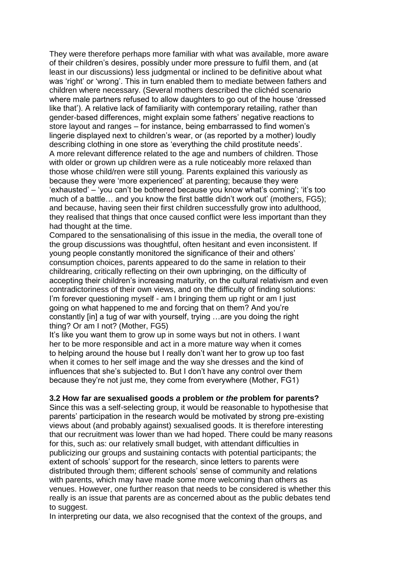They were therefore perhaps more familiar with what was available, more aware of their children's desires, possibly under more pressure to fulfil them, and (at least in our discussions) less judgmental or inclined to be definitive about what was 'right' or 'wrong'. This in turn enabled them to mediate between fathers and children where necessary. (Several mothers described the clichéd scenario where male partners refused to allow daughters to go out of the house 'dressed like that'). A relative lack of familiarity with contemporary retailing, rather than gender-based differences, might explain some fathers' negative reactions to store layout and ranges – for instance, being embarrassed to find women's lingerie displayed next to children's wear, or (as reported by a mother) loudly describing clothing in one store as 'everything the child prostitute needs'. A more relevant difference related to the age and numbers of children. Those with older or grown up children were as a rule noticeably more relaxed than those whose child/ren were still young. Parents explained this variously as because they were 'more experienced' at parenting; because they were 'exhausted' – 'you can't be bothered because you know what's coming'; 'it's too much of a battle… and you know the first battle didn't work out' (mothers, FG5); and because, having seen their first children successfully grow into adulthood, they realised that things that once caused conflict were less important than they had thought at the time.

Compared to the sensationalising of this issue in the media, the overall tone of the group discussions was thoughtful, often hesitant and even inconsistent. If young people constantly monitored the significance of their and others' consumption choices, parents appeared to do the same in relation to their childrearing, critically reflecting on their own upbringing, on the difficulty of accepting their children's increasing maturity, on the cultural relativism and even contradictoriness of their own views, and on the difficulty of finding solutions: I'm forever questioning myself - am I bringing them up right or am I just going on what happened to me and forcing that on them? And you're constantly [in] a tug of war with yourself, trying …are you doing the right thing? Or am I not? (Mother, FG5)

It's like you want them to grow up in some ways but not in others. I want her to be more responsible and act in a more mature way when it comes to helping around the house but I really don't want her to grow up too fast when it comes to her self image and the way she dresses and the kind of influences that she's subjected to. But I don't have any control over them because they're not just me, they come from everywhere (Mother, FG1)

#### **3.2 How far are sexualised goods** *a* **problem or** *the* **problem for parents?**

Since this was a self-selecting group, it would be reasonable to hypothesise that parents' participation in the research would be motivated by strong pre-existing views about (and probably against) sexualised goods. It is therefore interesting that our recruitment was lower than we had hoped. There could be many reasons for this, such as: our relatively small budget, with attendant difficulties in publicizing our groups and sustaining contacts with potential participants; the extent of schools' support for the research, since letters to parents were distributed through them; different schools' sense of community and relations with parents, which may have made some more welcoming than others as venues. However, one further reason that needs to be considered is whether this really is an issue that parents are as concerned about as the public debates tend to suggest.

In interpreting our data, we also recognised that the context of the groups, and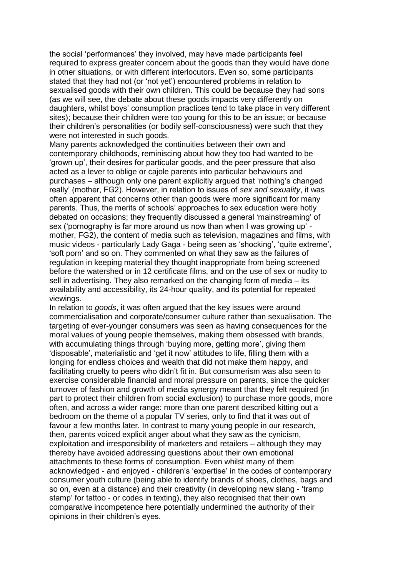the social 'performances' they involved, may have made participants feel required to express greater concern about the goods than they would have done in other situations, or with different interlocutors. Even so, some participants stated that they had not (or 'not yet') encountered problems in relation to sexualised goods with their own children. This could be because they had sons (as we will see, the debate about these goods impacts very differently on daughters, whilst boys' consumption practices tend to take place in very different sites); because their children were too young for this to be an issue; or because their children's personalities (or bodily self-consciousness) were such that they were not interested in such goods.

Many parents acknowledged the continuities between their own and contemporary childhoods, reminiscing about how they too had wanted to be 'grown up', their desires for particular goods, and the peer pressure that also acted as a lever to oblige or cajole parents into particular behaviours and purchases – although only one parent explicitly argued that 'nothing's changed really' (mother, FG2). However, in relation to issues of *sex and sexuality*, it was often apparent that concerns other than goods were more significant for many parents. Thus, the merits of schools' approaches to sex education were hotly debated on occasions; they frequently discussed a general 'mainstreaming' of sex ('pornography is far more around us now than when I was growing up' mother, FG2), the content of media such as television, magazines and films, with music videos - particularly Lady Gaga - being seen as 'shocking', 'quite extreme', 'soft porn' and so on. They commented on what they saw as the failures of regulation in keeping material they thought inappropriate from being screened before the watershed or in 12 certificate films, and on the use of sex or nudity to sell in advertising. They also remarked on the changing form of media – its availability and accessibility, its 24-hour quality, and its potential for repeated viewings.

In relation to *goods*, it was often argued that the key issues were around commercialisation and corporate/consumer culture rather than sexualisation. The targeting of ever-younger consumers was seen as having consequences for the moral values of young people themselves, making them obsessed with brands, with accumulating things through 'buying more, getting more', giving them 'disposable', materialistic and 'get it now' attitudes to life, filling them with a longing for endless choices and wealth that did not make them happy, and facilitating cruelty to peers who didn't fit in. But consumerism was also seen to exercise considerable financial and moral pressure on parents, since the quicker turnover of fashion and growth of media synergy meant that they felt required (in part to protect their children from social exclusion) to purchase more goods, more often, and across a wider range: more than one parent described kitting out a bedroom on the theme of a popular TV series, only to find that it was out of favour a few months later. In contrast to many young people in our research, then, parents voiced explicit anger about what they saw as the cynicism, exploitation and irresponsibility of marketers and retailers – although they may thereby have avoided addressing questions about their own emotional attachments to these forms of consumption. Even whilst many of them acknowledged - and enjoyed - children's 'expertise' in the codes of contemporary consumer youth culture (being able to identify brands of shoes, clothes, bags and so on, even at a distance) and their creativity (in developing new slang - 'tramp stamp' for tattoo - or codes in texting), they also recognised that their own comparative incompetence here potentially undermined the authority of their opinions in their children's eyes.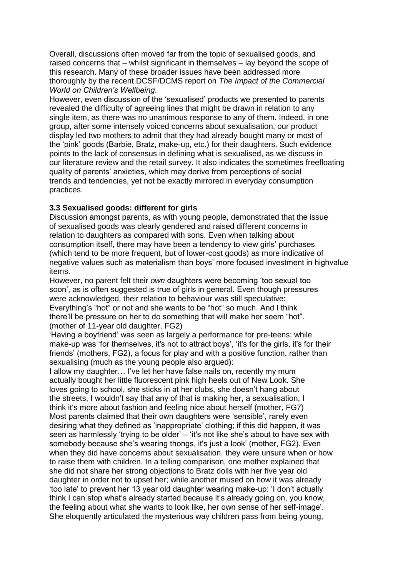Overall, discussions often moved far from the topic of sexualised goods, and raised concerns that – whilst significant in themselves – lay beyond the scope of this research. Many of these broader issues have been addressed more thoroughly by the recent DCSF/DCMS report on *The Impact of the Commercial World on Children's Wellbeing*.

However, even discussion of the 'sexualised' products we presented to parents revealed the difficulty of agreeing lines that might be drawn in relation to any single item, as there was no unanimous response to any of them. Indeed, in one group, after some intensely voiced concerns about sexualisation, our product display led two mothers to admit that they had already bought many or most of the 'pink' goods (Barbie, Bratz, make-up, etc.) for their daughters. Such evidence points to the lack of consensus in defining what is sexualised, as we discuss in our literature review and the retail survey. It also indicates the sometimes freefloating quality of parents' anxieties, which may derive from perceptions of social trends and tendencies, yet not be exactly mirrored in everyday consumption practices.

## **3.3 Sexualised goods: different for girls**

Discussion amongst parents, as with young people, demonstrated that the issue of sexualised goods was clearly gendered and raised different concerns in relation to daughters as compared with sons. Even when talking about consumption itself, there may have been a tendency to view girls' purchases (which tend to be more frequent, but of lower-cost goods) as more indicative of negative values such as materialism than boys' more focused investment in highvalue items.

However, no parent felt their *own* daughters were becoming 'too sexual too soon', as is often suggested is true of girls in general. Even though pressures were acknowledged, their relation to behaviour was still speculative: Everything's "hot" or not and she wants to be "hot" so much. And I think there'll be pressure on her to do something that will make her seem "hot". (mother of 11-year old daughter, FG2)

'Having a boyfriend' was seen as largely a performance for pre-teens; while make-up was 'for themselves, it's not to attract boys', 'it's for the girls, it's for their friends' (mothers, FG2), a focus for play and with a positive function, rather than sexualising (much as the young people also argued):

I allow my daughter… I've let her have false nails on, recently my mum actually bought her little fluorescent pink high heels out of New Look. She loves going to school, she sticks in at her clubs, she doesn't hang about the streets, I wouldn't say that any of that is making her, a sexualisation, I think it's more about fashion and feeling nice about herself (mother, FG7) Most parents claimed that their own daughters were 'sensible', rarely even desiring what they defined as 'inappropriate' clothing; if this did happen, it was seen as harmlessly 'trying to be older' – 'it's not like she's about to have sex with somebody because she's wearing thongs, it's just a look' (mother, FG2). Even when they did have concerns about sexualisation, they were unsure when or how to raise them with children. In a telling comparison, one mother explained that she did not share her strong objections to Bratz dolls with her five year old daughter in order not to upset her; while another mused on how it was already 'too late' to prevent her 13 year old daughter wearing make-up: 'I don't actually think I can stop what's already started because it's already going on, you know, the feeling about what she wants to look like, her own sense of her self-image'. She eloquently articulated the mysterious way children pass from being young,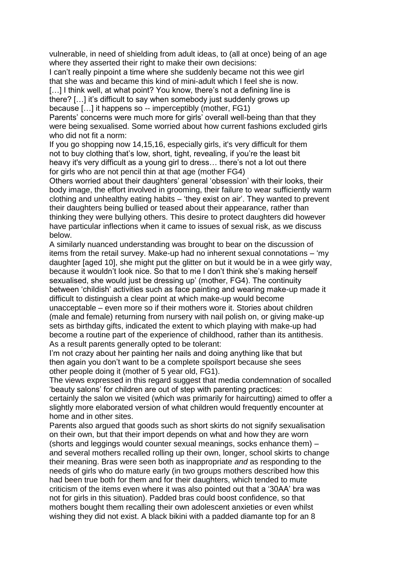vulnerable, in need of shielding from adult ideas, to (all at once) being of an age where they asserted their right to make their own decisions:

I can't really pinpoint a time where she suddenly became not this wee girl that she was and became this kind of mini-adult which I feel she is now. [...] I think well, at what point? You know, there's not a defining line is there? […] it's difficult to say when somebody just suddenly grows up

because […] it happens so -- imperceptibly (mother, FG1)

Parents' concerns were much more for girls' overall well-being than that they were being sexualised. Some worried about how current fashions excluded girls who did not fit a norm:

If you go shopping now 14,15,16, especially girls, it's very difficult for them not to buy clothing that's low, short, tight, revealing, if you're the least bit heavy it's very difficult as a young girl to dress… there's not a lot out there for girls who are not pencil thin at that age (mother FG4)

Others worried about their daughters' general 'obsession' with their looks, their body image, the effort involved in grooming, their failure to wear sufficiently warm clothing and unhealthy eating habits – 'they exist on air'. They wanted to prevent their daughters being bullied or teased about their appearance, rather than thinking they were bullying others. This desire to protect daughters did however have particular inflections when it came to issues of sexual risk, as we discuss below.

A similarly nuanced understanding was brought to bear on the discussion of items from the retail survey. Make-up had no inherent sexual connotations – 'my daughter [aged 10], she might put the glitter on but it would be in a wee girly way, because it wouldn't look nice. So that to me I don't think she's making herself sexualised, she would just be dressing up' (mother, FG4). The continuity between 'childish' activities such as face painting and wearing make-up made it difficult to distinguish a clear point at which make-up would become unacceptable – even more so if their mothers wore it. Stories about children (male and female) returning from nursery with nail polish on, or giving make-up sets as birthday gifts, indicated the extent to which playing with make-up had become a routine part of the experience of childhood, rather than its antithesis. As a result parents generally opted to be tolerant:

I'm not crazy about her painting her nails and doing anything like that but then again you don't want to be a complete spoilsport because she sees other people doing it (mother of 5 year old, FG1).

The views expressed in this regard suggest that media condemnation of socalled 'beauty salons' for children are out of step with parenting practices:

certainly the salon we visited (which was primarily for haircutting) aimed to offer a slightly more elaborated version of what children would frequently encounter at home and in other sites.

Parents also argued that goods such as short skirts do not signify sexualisation on their own, but that their import depends on what and how they are worn (shorts and leggings would counter sexual meanings, socks enhance them) – and several mothers recalled rolling up their own, longer, school skirts to change their meaning. Bras were seen both as inappropriate *and* as responding to the needs of girls who do mature early (in two groups mothers described how this had been true both for them and for their daughters, which tended to mute criticism of the items even where it was also pointed out that a '30AA' bra was not for girls in this situation). Padded bras could boost confidence, so that mothers bought them recalling their own adolescent anxieties or even whilst wishing they did not exist. A black bikini with a padded diamante top for an 8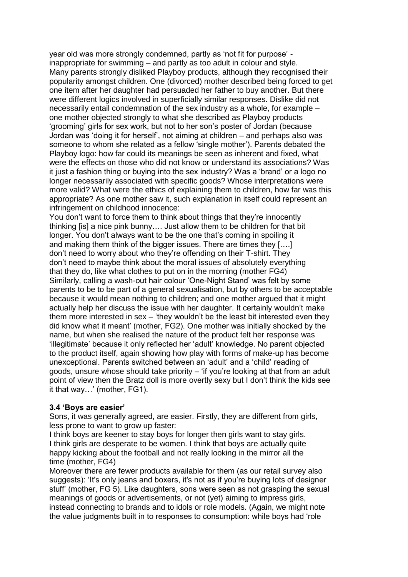year old was more strongly condemned, partly as 'not fit for purpose' inappropriate for swimming – and partly as too adult in colour and style. Many parents strongly disliked Playboy products, although they recognised their popularity amongst children. One (divorced) mother described being forced to get one item after her daughter had persuaded her father to buy another. But there were different logics involved in superficially similar responses. Dislike did not necessarily entail condemnation of the sex industry as a whole, for example – one mother objected strongly to what she described as Playboy products 'grooming' girls for sex work, but not to her son's poster of Jordan (because Jordan was 'doing it for herself', not aiming at children – and perhaps also was someone to whom she related as a fellow 'single mother'). Parents debated the Playboy logo: how far could its meanings be seen as inherent and fixed, what were the effects on those who did not know or understand its associations? Was it just a fashion thing or buying into the sex industry? Was a 'brand' or a logo no longer necessarily associated with specific goods? Whose interpretations were more valid? What were the ethics of explaining them to children, how far was this appropriate? As one mother saw it, such explanation in itself could represent an infringement on childhood innocence:

You don't want to force them to think about things that they're innocently thinking [is] a nice pink bunny…. Just allow them to be children for that bit longer. You don't always want to be the one that's coming in spoiling it and making them think of the bigger issues. There are times they [….] don't need to worry about who they're offending on their T-shirt. They don't need to maybe think about the moral issues of absolutely everything that they do, like what clothes to put on in the morning (mother FG4) Similarly, calling a wash-out hair colour 'One-Night Stand' was felt by some parents to be to be part of a general sexualisation, but by others to be acceptable because it would mean nothing to children; and one mother argued that it might actually help her discuss the issue with her daughter. It certainly wouldn't make them more interested in sex – 'they wouldn't be the least bit interested even they did know what it meant' (mother, FG2). One mother was initially shocked by the name, but when she realised the nature of the product felt her response was 'illegitimate' because it only reflected her 'adult' knowledge. No parent objected to the product itself, again showing how play with forms of make-up has become unexceptional. Parents switched between an 'adult' and a 'child' reading of goods, unsure whose should take priority – 'if you're looking at that from an adult point of view then the Bratz doll is more overtly sexy but I don't think the kids see it that way…' (mother, FG1).

#### **3.4 'Boys are easier'**

Sons, it was generally agreed, are easier. Firstly, they are different from girls, less prone to want to grow up faster:

I think boys are keener to stay boys for longer then girls want to stay girls. I think girls are desperate to be women. I think that boys are actually quite happy kicking about the football and not really looking in the mirror all the time (mother, FG4)

Moreover there are fewer products available for them (as our retail survey also suggests): 'It's only jeans and boxers, it's not as if you're buying lots of designer stuff' (mother, FG 5). Like daughters, sons were seen as not grasping the sexual meanings of goods or advertisements, or not (yet) aiming to impress girls, instead connecting to brands and to idols or role models. (Again, we might note the value judgments built in to responses to consumption: while boys had 'role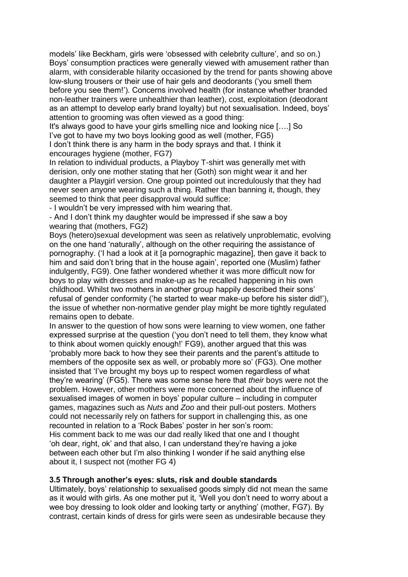models' like Beckham, girls were 'obsessed with celebrity culture', and so on.) Boys' consumption practices were generally viewed with amusement rather than alarm, with considerable hilarity occasioned by the trend for pants showing above low-slung trousers or their use of hair gels and deodorants ('you smell them before you see them!'). Concerns involved health (for instance whether branded non-leather trainers were unhealthier than leather), cost, exploitation (deodorant as an attempt to develop early brand loyalty) but not sexualisation. Indeed, boys' attention to grooming was often viewed as a good thing:

It's always good to have your girls smelling nice and looking nice [….] So I've got to have my two boys looking good as well (mother, FG5) I don't think there is any harm in the body sprays and that. I think it encourages hygiene (mother, FG7)

In relation to individual products, a Playboy T-shirt was generally met with derision, only one mother stating that her (Goth) son might wear it and her daughter a Playgirl version. One group pointed out incredulously that they had never seen anyone wearing such a thing. Rather than banning it, though, they seemed to think that peer disapproval would suffice:

- I wouldn't be very impressed with him wearing that.

- And I don't think my daughter would be impressed if she saw a boy wearing that (mothers, FG2)

Boys (hetero)sexual development was seen as relatively unproblematic, evolving on the one hand 'naturally', although on the other requiring the assistance of pornography. ('I had a look at it [a pornographic magazine], then gave it back to him and said don't bring that in the house again', reported one (Muslim) father indulgently, FG9). One father wondered whether it was more difficult now for boys to play with dresses and make-up as he recalled happening in his own childhood. Whilst two mothers in another group happily described their sons' refusal of gender conformity ('he started to wear make-up before his sister did!'), the issue of whether non-normative gender play might be more tightly regulated remains open to debate.

In answer to the question of how sons were learning to view women, one father expressed surprise at the question ('you don't need to tell them, they know what to think about women quickly enough!' FG9), another argued that this was 'probably more back to how they see their parents and the parent's attitude to members of the opposite sex as well, or probably more so' (FG3). One mother insisted that 'I've brought my boys up to respect women regardless of what they're wearing' (FG5). There was some sense here that *their* boys were not the problem. However, other mothers were more concerned about the influence of sexualised images of women in boys' popular culture – including in computer games, magazines such as *Nuts* and *Zoo* and their pull-out posters. Mothers could not necessarily rely on fathers for support in challenging this, as one recounted in relation to a 'Rock Babes' poster in her son's room: His comment back to me was our dad really liked that one and I thought 'oh dear, right, ok' and that also, I can understand they're having a joke between each other but I'm also thinking I wonder if he said anything else about it, I suspect not (mother FG 4)

#### **3.5 Through another's eyes: sluts, risk and double standards**

Ultimately, boys' relationship to sexualised goods simply did not mean the same as it would with girls. As one mother put it, 'Well you don't need to worry about a wee boy dressing to look older and looking tarty or anything' (mother, FG7). By contrast, certain kinds of dress for girls were seen as undesirable because they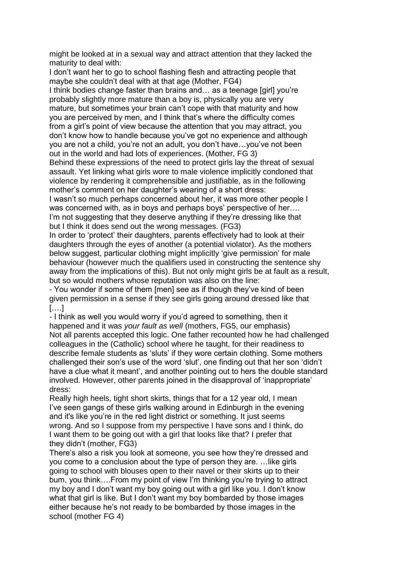might be looked at in a sexual way and attract attention that they lacked the maturity to deal with:

I don't want her to go to school flashing flesh and attracting people that maybe she couldn't deal with at that age (Mother, FG4)

I think bodies change faster than brains and… as a teenage [girl] you're probably slightly more mature than a boy is, physically you are very mature, but sometimes your brain can't cope with that maturity and how you are perceived by men, and I think that's where the difficulty comes from a girl's point of view because the attention that you may attract, you don't know how to handle because you've got no experience and although you are not a child, you're not an adult, you don't have…you've not been out in the world and had lots of experiences. (Mother, FG 3)

Behind these expressions of the need to protect girls lay the threat of sexual assault. Yet linking what girls wore to male violence implicitly condoned that violence by rendering it comprehensible and justifiable, as in the following mother's comment on her daughter's wearing of a short dress:

I wasn't so much perhaps concerned about her, it was more other people I was concerned with, as in boys and perhaps boys' perspective of her…. I'm not suggesting that they deserve anything if they're dressing like that but I think it does send out the wrong messages. (FG3)

In order to 'protect' their daughters, parents effectively had to look at their daughters through the eyes of another (a potential violator). As the mothers below suggest, particular clothing might implicitly 'give permission' for male behaviour (however much the qualifiers used in constructing the sentence shy away from the implications of this). But not only might girls be at fault as a result, but so would mothers whose reputation was also on the line:

- You wonder if some of them [men] see as if though they've kind of been given permission in a sense if they see girls going around dressed like that [….]

- I think as well you would worry if you'd agreed to something, then it happened and it was *your fault as well* (mothers, FG5, our emphasis) Not all parents accepted this logic. One father recounted how he had challenged colleagues in the (Catholic) school where he taught, for their readiness to describe female students as 'sluts' if they wore certain clothing. Some mothers challenged their son's use of the word 'slut', one finding out that her son 'didn't have a clue what it meant', and another pointing out to hers the double standard involved. However, other parents joined in the disapproval of 'inappropriate' dress:

Really high heels, tight short skirts, things that for a 12 year old, I mean I've seen gangs of these girls walking around in Edinburgh in the evening and it's like you're in the red light district or something. It just seems wrong. And so I suppose from my perspective I have sons and I think, do I want them to be going out with a girl that looks like that? I prefer that they didn't (mother, FG3)

There's also a risk you look at someone, you see how they're dressed and you come to a conclusion about the type of person they are. …like girls going to school with blouses open to their navel or their skirts up to their bum, you think….From my point of view I'm thinking you're trying to attract my boy and I don't want my boy going out with a girl like you. I don't know what that girl is like. But I don't want my boy bombarded by those images either because he's not ready to be bombarded by those images in the school (mother FG 4)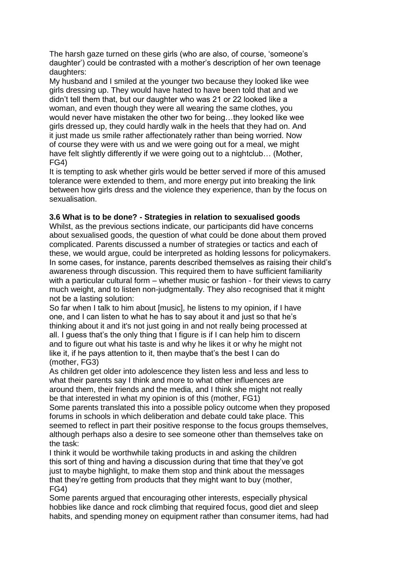The harsh gaze turned on these girls (who are also, of course, 'someone's daughter') could be contrasted with a mother's description of her own teenage daughters:

My husband and I smiled at the younger two because they looked like wee girls dressing up. They would have hated to have been told that and we didn't tell them that, but our daughter who was 21 or 22 looked like a woman, and even though they were all wearing the same clothes, you would never have mistaken the other two for being…they looked like wee girls dressed up, they could hardly walk in the heels that they had on. And it just made us smile rather affectionately rather than being worried. Now of course they were with us and we were going out for a meal, we might have felt slightly differently if we were going out to a nightclub… (Mother, FG4)

It is tempting to ask whether girls would be better served if more of this amused tolerance were extended to them, and more energy put into breaking the link between how girls dress and the violence they experience, than by the focus on sexualisation.

#### **3.6 What is to be done? - Strategies in relation to sexualised goods**

Whilst, as the previous sections indicate, our participants did have concerns about sexualised goods, the question of what could be done about them proved complicated. Parents discussed a number of strategies or tactics and each of these, we would argue, could be interpreted as holding lessons for policymakers. In some cases, for instance, parents described themselves as raising their child's awareness through discussion. This required them to have sufficient familiarity with a particular cultural form – whether music or fashion - for their views to carry much weight, and to listen non-judgmentally. They also recognised that it might not be a lasting solution:

So far when I talk to him about [music], he listens to my opinion, if I have one, and I can listen to what he has to say about it and just so that he's thinking about it and it's not just going in and not really being processed at all. I guess that's the only thing that I figure is if I can help him to discern and to figure out what his taste is and why he likes it or why he might not like it, if he pays attention to it, then maybe that's the best I can do (mother, FG3)

As children get older into adolescence they listen less and less and less to what their parents say I think and more to what other influences are around them, their friends and the media, and I think she might not really be that interested in what my opinion is of this (mother, FG1)

Some parents translated this into a possible policy outcome when they proposed forums in schools in which deliberation and debate could take place. This seemed to reflect in part their positive response to the focus groups themselves, although perhaps also a desire to see someone other than themselves take on the task:

I think it would be worthwhile taking products in and asking the children this sort of thing and having a discussion during that time that they've got just to maybe highlight, to make them stop and think about the messages that they're getting from products that they might want to buy (mother, FG4)

Some parents argued that encouraging other interests, especially physical hobbies like dance and rock climbing that required focus, good diet and sleep habits, and spending money on equipment rather than consumer items, had had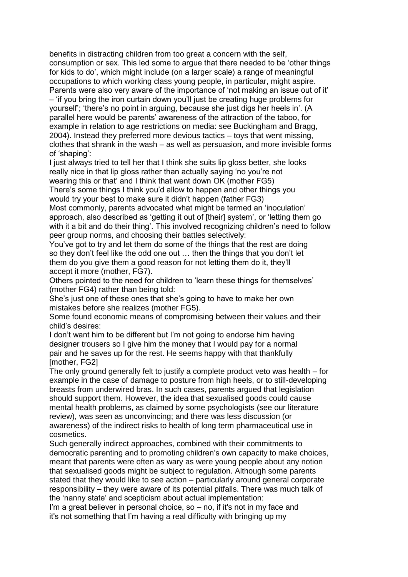benefits in distracting children from too great a concern with the self, consumption or sex. This led some to argue that there needed to be 'other things for kids to do', which might include (on a larger scale) a range of meaningful occupations to which working class young people, in particular, might aspire. Parents were also very aware of the importance of 'not making an issue out of it' – 'if you bring the iron curtain down you'll just be creating huge problems for yourself'; 'there's no point in arguing, because she just digs her heels in'. (A parallel here would be parents' awareness of the attraction of the taboo, for example in relation to age restrictions on media: see Buckingham and Bragg, 2004). Instead they preferred more devious tactics – toys that went missing, clothes that shrank in the wash – as well as persuasion, and more invisible forms of 'shaping':

I just always tried to tell her that I think she suits lip gloss better, she looks really nice in that lip gloss rather than actually saying 'no you're not wearing this or that' and I think that went down OK (mother FG5) There's some things I think you'd allow to happen and other things you

would try your best to make sure it didn't happen (father FG3)

Most commonly, parents advocated what might be termed an 'inoculation' approach, also described as 'getting it out of [their] system', or 'letting them go with it a bit and do their thing'. This involved recognizing children's need to follow peer group norms, and choosing their battles selectively:

You've got to try and let them do some of the things that the rest are doing so they don't feel like the odd one out … then the things that you don't let them do you give them a good reason for not letting them do it, they'll accept it more (mother, FG7).

Others pointed to the need for children to 'learn these things for themselves' (mother FG4) rather than being told:

She's just one of these ones that she's going to have to make her own mistakes before she realizes (mother FG5).

Some found economic means of compromising between their values and their child's desires:

I don't want him to be different but I'm not going to endorse him having designer trousers so I give him the money that I would pay for a normal pair and he saves up for the rest. He seems happy with that thankfully [mother, FG2]

The only ground generally felt to justify a complete product veto was health – for example in the case of damage to posture from high heels, or to still-developing breasts from underwired bras. In such cases, parents argued that legislation should support them. However, the idea that sexualised goods could cause mental health problems, as claimed by some psychologists (see our literature review), was seen as unconvincing; and there was less discussion (or awareness) of the indirect risks to health of long term pharmaceutical use in cosmetics.

Such generally indirect approaches, combined with their commitments to democratic parenting and to promoting children's own capacity to make choices, meant that parents were often as wary as were young people about any notion that sexualised goods might be subject to regulation. Although some parents stated that they would like to see action – particularly around general corporate responsibility – they were aware of its potential pitfalls. There was much talk of the 'nanny state' and scepticism about actual implementation:

I'm a great believer in personal choice, so – no, if it's not in my face and it's not something that I'm having a real difficulty with bringing up my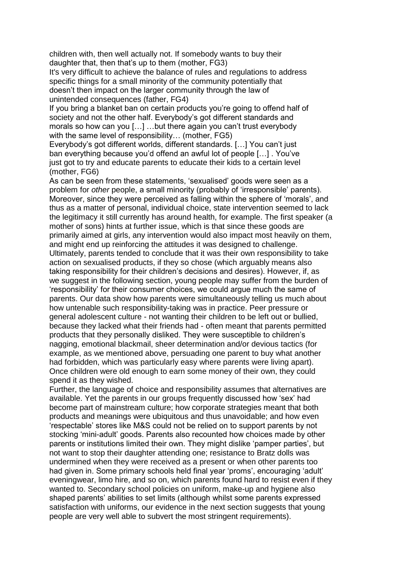children with, then well actually not. If somebody wants to buy their daughter that, then that's up to them (mother, FG3)

It's very difficult to achieve the balance of rules and regulations to address specific things for a small minority of the community potentially that doesn't then impact on the larger community through the law of unintended consequences (father, FG4)

If you bring a blanket ban on certain products you're going to offend half of society and not the other half. Everybody's got different standards and morals so how can you […] …but there again you can't trust everybody with the same level of responsibility… (mother, FG5)

Everybody's got different worlds, different standards. […] You can't just ban everything because you'd offend an awful lot of people […] . You've just got to try and educate parents to educate their kids to a certain level (mother, FG6)

As can be seen from these statements, 'sexualised' goods were seen as a problem for *other* people, a small minority (probably of 'irresponsible' parents). Moreover, since they were perceived as falling within the sphere of 'morals', and thus as a matter of personal, individual choice, state intervention seemed to lack the legitimacy it still currently has around health, for example. The first speaker (a mother of sons) hints at further issue, which is that since these goods are primarily aimed at girls, any intervention would also impact most heavily on them, and might end up reinforcing the attitudes it was designed to challenge. Ultimately, parents tended to conclude that it was their own responsibility to take action on sexualised products, if they so chose (which arguably means also taking responsibility for their children's decisions and desires). However, if, as we suggest in the following section, young people may suffer from the burden of 'responsibility' for their consumer choices, we could argue much the same of parents. Our data show how parents were simultaneously telling us much about how untenable such responsibility-taking was in practice. Peer pressure or general adolescent culture - not wanting their children to be left out or bullied, because they lacked what their friends had - often meant that parents permitted products that they personally disliked. They were susceptible to children's nagging, emotional blackmail, sheer determination and/or devious tactics (for example, as we mentioned above, persuading one parent to buy what another had forbidden, which was particularly easy where parents were living apart). Once children were old enough to earn some money of their own, they could spend it as they wished.

Further, the language of choice and responsibility assumes that alternatives are available. Yet the parents in our groups frequently discussed how 'sex' had become part of mainstream culture; how corporate strategies meant that both products and meanings were ubiquitous and thus unavoidable; and how even 'respectable' stores like M&S could not be relied on to support parents by not stocking 'mini-adult' goods. Parents also recounted how choices made by other parents or institutions limited their own. They might dislike 'pamper parties', but not want to stop their daughter attending one; resistance to Bratz dolls was undermined when they were received as a present or when other parents too had given in. Some primary schools held final year 'proms', encouraging 'adult' eveningwear, limo hire, and so on, which parents found hard to resist even if they wanted to. Secondary school policies on uniform, make-up and hygiene also shaped parents' abilities to set limits (although whilst some parents expressed satisfaction with uniforms, our evidence in the next section suggests that young people are very well able to subvert the most stringent requirements).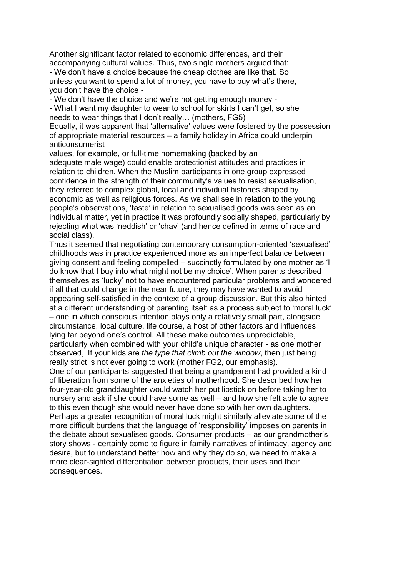Another significant factor related to economic differences, and their accompanying cultural values. Thus, two single mothers argued that: - We don't have a choice because the cheap clothes are like that. So unless you want to spend a lot of money, you have to buy what's there, you don't have the choice -

- We don't have the choice and we're not getting enough money - - What I want my daughter to wear to school for skirts I can't get, so she needs to wear things that I don't really… (mothers, FG5)

Equally, it was apparent that 'alternative' values were fostered by the possession of appropriate material resources – a family holiday in Africa could underpin anticonsumerist

values, for example, or full-time homemaking (backed by an adequate male wage) could enable protectionist attitudes and practices in relation to children. When the Muslim participants in one group expressed confidence in the strength of their community's values to resist sexualisation, they referred to complex global, local and individual histories shaped by economic as well as religious forces. As we shall see in relation to the young people's observations, 'taste' in relation to sexualised goods was seen as an individual matter, yet in practice it was profoundly socially shaped, particularly by rejecting what was 'neddish' or 'chav' (and hence defined in terms of race and social class).

Thus it seemed that negotiating contemporary consumption-oriented 'sexualised' childhoods was in practice experienced more as an imperfect balance between giving consent and feeling compelled – succinctly formulated by one mother as 'I do know that I buy into what might not be my choice'. When parents described themselves as 'lucky' not to have encountered particular problems and wondered if all that could change in the near future, they may have wanted to avoid appearing self-satisfied in the context of a group discussion. But this also hinted at a different understanding of parenting itself as a process subject to 'moral luck' – one in which conscious intention plays only a relatively small part, alongside circumstance, local culture, life course, a host of other factors and influences lying far beyond one's control. All these make outcomes unpredictable, particularly when combined with your child's unique character - as one mother observed, 'If your kids are *the type that climb out the window*, then just being really strict is not ever going to work (mother FG2, our emphasis).

One of our participants suggested that being a grandparent had provided a kind of liberation from some of the anxieties of motherhood. She described how her four-year-old granddaughter would watch her put lipstick on before taking her to nursery and ask if she could have some as well – and how she felt able to agree to this even though she would never have done so with her own daughters. Perhaps a greater recognition of moral luck might similarly alleviate some of the more difficult burdens that the language of 'responsibility' imposes on parents in the debate about sexualised goods. Consumer products – as our grandmother's story shows - certainly come to figure in family narratives of intimacy, agency and desire, but to understand better how and why they do so, we need to make a more clear-sighted differentiation between products, their uses and their consequences.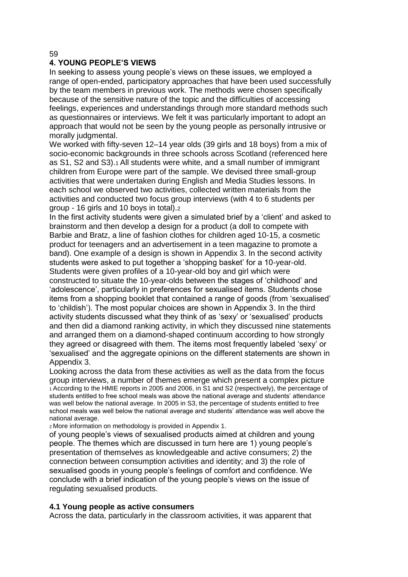## **4. YOUNG PEOPLE'S VIEWS**

In seeking to assess young people's views on these issues, we employed a range of open-ended, participatory approaches that have been used successfully by the team members in previous work. The methods were chosen specifically because of the sensitive nature of the topic and the difficulties of accessing feelings, experiences and understandings through more standard methods such as questionnaires or interviews. We felt it was particularly important to adopt an approach that would not be seen by the young people as personally intrusive or morally judgmental.

We worked with fifty-seven 12–14 year olds (39 girls and 18 boys) from a mix of socio-economic backgrounds in three schools across Scotland (referenced here as S1, S2 and S3).1 All students were white, and a small number of immigrant children from Europe were part of the sample. We devised three small-group activities that were undertaken during English and Media Studies lessons. In each school we observed two activities, collected written materials from the activities and conducted two focus group interviews (with 4 to 6 students per group - 16 girls and 10 boys in total).<sup>2</sup>

In the first activity students were given a simulated brief by a 'client' and asked to brainstorm and then develop a design for a product (a doll to compete with Barbie and Bratz, a line of fashion clothes for children aged 10-15, a cosmetic product for teenagers and an advertisement in a teen magazine to promote a band). One example of a design is shown in Appendix 3. In the second activity students were asked to put together a 'shopping basket' for a 10-year-old. Students were given profiles of a 10-year-old boy and girl which were constructed to situate the 10-year-olds between the stages of 'childhood' and 'adolescence', particularly in preferences for sexualised items. Students chose items from a shopping booklet that contained a range of goods (from 'sexualised' to 'childish'). The most popular choices are shown in Appendix 3. In the third activity students discussed what they think of as 'sexy' or 'sexualised' products and then did a diamond ranking activity, in which they discussed nine statements and arranged them on a diamond-shaped continuum according to how strongly they agreed or disagreed with them. The items most frequently labeled 'sexy' or 'sexualised' and the aggregate opinions on the different statements are shown in Appendix 3.

Looking across the data from these activities as well as the data from the focus group interviews, a number of themes emerge which present a complex picture <sup>1</sup>According to the HMIE reports in 2005 and 2006, in S1 and S2 (respectively), the percentage of students entitled to free school meals was above the national average and students' attendance was well below the national average. In 2005 in S3, the percentage of students entitled to free school meals was well below the national average and students' attendance was well above the national average.

<sup>2</sup>More information on methodology is provided in Appendix 1.

of young people's views of sexualised products aimed at children and young people. The themes which are discussed in turn here are 1) young people's presentation of themselves as knowledgeable and active consumers; 2) the connection between consumption activities and identity; and 3) the role of sexualised goods in young people's feelings of comfort and confidence. We conclude with a brief indication of the young people's views on the issue of regulating sexualised products.

#### **4.1 Young people as active consumers**

Across the data, particularly in the classroom activities, it was apparent that

59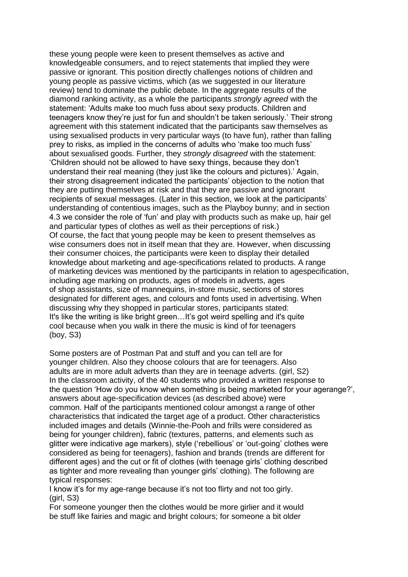these young people were keen to present themselves as active and knowledgeable consumers, and to reject statements that implied they were passive or ignorant. This position directly challenges notions of children and young people as passive victims, which (as we suggested in our literature review) tend to dominate the public debate. In the aggregate results of the diamond ranking activity, as a whole the participants *strongly agreed* with the statement: 'Adults make too much fuss about sexy products. Children and teenagers know they're just for fun and shouldn't be taken seriously.' Their strong agreement with this statement indicated that the participants saw themselves as using sexualised products in very particular ways (to have fun), rather than falling prey to risks, as implied in the concerns of adults who 'make too much fuss' about sexualised goods. Further, they *strongly disagreed* with the statement: 'Children should not be allowed to have sexy things, because they don't understand their real meaning (they just like the colours and pictures).' Again, their strong disagreement indicated the participants' objection to the notion that they are putting themselves at risk and that they are passive and ignorant recipients of sexual messages. (Later in this section, we look at the participants' understanding of contentious images, such as the Playboy bunny; and in section 4.3 we consider the role of 'fun' and play with products such as make up, hair gel and particular types of clothes as well as their perceptions of risk.) Of course, the fact that young people may be keen to present themselves as wise consumers does not in itself mean that they are. However, when discussing their consumer choices, the participants were keen to display their detailed knowledge about marketing and age-specifications related to products. A range of marketing devices was mentioned by the participants in relation to agespecification, including age marking on products, ages of models in adverts, ages of shop assistants, size of mannequins, in-store music, sections of stores designated for different ages, and colours and fonts used in advertising. When discussing why they shopped in particular stores, participants stated: It's like the writing is like bright green...It's got weird spelling and it's quite cool because when you walk in there the music is kind of for teenagers (boy, S3)

Some posters are of Postman Pat and stuff and you can tell are for younger children. Also they choose colours that are for teenagers. Also adults are in more adult adverts than they are in teenage adverts. (girl, S2) In the classroom activity, of the 40 students who provided a written response to the question 'How do you know when something is being marketed for your agerange?', answers about age-specification devices (as described above) were common. Half of the participants mentioned colour amongst a range of other characteristics that indicated the target age of a product. Other characteristics included images and details (Winnie-the-Pooh and frills were considered as being for younger children), fabric (textures, patterns, and elements such as glitter were indicative age markers), style ('rebellious' or 'out-going' clothes were considered as being for teenagers), fashion and brands (trends are different for different ages) and the cut or fit of clothes (with teenage girls' clothing described as tighter and more revealing than younger girls' clothing). The following are typical responses:

I know it's for my age-range because it's not too flirty and not too girly. (girl, S3)

For someone younger then the clothes would be more girlier and it would be stuff like fairies and magic and bright colours; for someone a bit older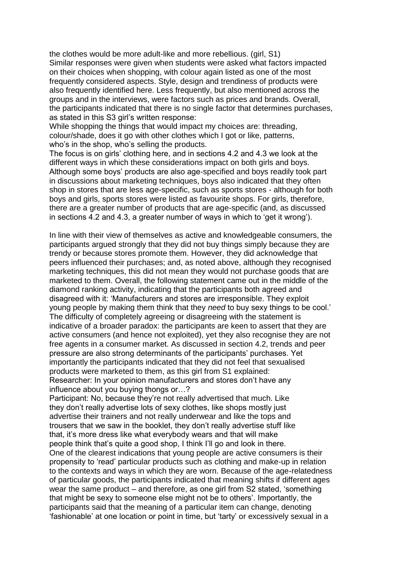the clothes would be more adult-like and more rebellious. (girl, S1) Similar responses were given when students were asked what factors impacted on their choices when shopping, with colour again listed as one of the most frequently considered aspects. Style, design and trendiness of products were also frequently identified here. Less frequently, but also mentioned across the groups and in the interviews, were factors such as prices and brands. Overall, the participants indicated that there is no single factor that determines purchases, as stated in this S3 girl's written response:

While shopping the things that would impact my choices are: threading, colour/shade, does it go with other clothes which I got or like, patterns, who's in the shop, who's selling the products.

The focus is on girls' clothing here, and in sections 4.2 and 4.3 we look at the different ways in which these considerations impact on both girls and boys. Although some boys' products are also age-specified and boys readily took part in discussions about marketing techniques, boys also indicated that they often shop in stores that are less age-specific, such as sports stores - although for both boys and girls, sports stores were listed as favourite shops. For girls, therefore, there are a greater number of products that are age-specific (and, as discussed in sections 4.2 and 4.3, a greater number of ways in which to 'get it wrong').

In line with their view of themselves as active and knowledgeable consumers, the participants argued strongly that they did not buy things simply because they are trendy or because stores promote them. However, they did acknowledge that peers influenced their purchases; and, as noted above, although they recognised marketing techniques, this did not mean they would not purchase goods that are marketed to them. Overall, the following statement came out in the middle of the diamond ranking activity, indicating that the participants both agreed and disagreed with it: 'Manufacturers and stores are irresponsible. They exploit young people by making them think that they *need* to buy sexy things to be cool.' The difficulty of completely agreeing or disagreeing with the statement is indicative of a broader paradox: the participants are keen to assert that they are active consumers (and hence not exploited), yet they also recognise they are not free agents in a consumer market. As discussed in section 4.2, trends and peer pressure are also strong determinants of the participants' purchases. Yet importantly the participants indicated that they did not feel that sexualised products were marketed to them, as this girl from S1 explained: Researcher: In your opinion manufacturers and stores don't have any influence about you buying thongs or…?

Participant: No, because they're not really advertised that much. Like they don't really advertise lots of sexy clothes, like shops mostly just advertise their trainers and not really underwear and like the tops and trousers that we saw in the booklet, they don't really advertise stuff like that, it's more dress like what everybody wears and that will make people think that's quite a good shop, I think I'll go and look in there. One of the clearest indications that young people are active consumers is their propensity to 'read' particular products such as clothing and make-up in relation to the contexts and ways in which they are worn. Because of the age-relatedness of particular goods, the participants indicated that meaning shifts if different ages wear the same product – and therefore, as one girl from S2 stated, 'something that might be sexy to someone else might not be to others'. Importantly, the participants said that the meaning of a particular item can change, denoting 'fashionable' at one location or point in time, but 'tarty' or excessively sexual in a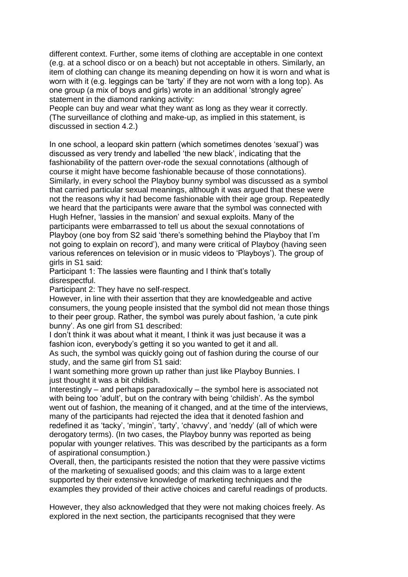different context. Further, some items of clothing are acceptable in one context (e.g. at a school disco or on a beach) but not acceptable in others. Similarly, an item of clothing can change its meaning depending on how it is worn and what is worn with it (e.g. leggings can be 'tarty' if they are not worn with a long top). As one group (a mix of boys and girls) wrote in an additional 'strongly agree' statement in the diamond ranking activity:

People can buy and wear what they want as long as they wear it correctly. (The surveillance of clothing and make-up, as implied in this statement, is discussed in section 4.2.)

In one school, a leopard skin pattern (which sometimes denotes 'sexual') was discussed as very trendy and labelled 'the new black', indicating that the fashionability of the pattern over-rode the sexual connotations (although of course it might have become fashionable because of those connotations). Similarly, in every school the Playboy bunny symbol was discussed as a symbol that carried particular sexual meanings, although it was argued that these were not the reasons why it had become fashionable with their age group. Repeatedly we heard that the participants were aware that the symbol was connected with Hugh Hefner, 'lassies in the mansion' and sexual exploits. Many of the participants were embarrassed to tell us about the sexual connotations of Playboy (one boy from S2 said 'there's something behind the Playboy that I'm not going to explain on record'), and many were critical of Playboy (having seen various references on television or in music videos to 'Playboys'). The group of girls in S1 said:

Participant 1: The lassies were flaunting and I think that's totally disrespectful.

Participant 2: They have no self-respect.

However, in line with their assertion that they are knowledgeable and active consumers, the young people insisted that the symbol did not mean those things to their peer group. Rather, the symbol was purely about fashion, 'a cute pink bunny'. As one girl from S1 described:

I don't think it was about what it meant, I think it was just because it was a fashion icon, everybody's getting it so you wanted to get it and all.

As such, the symbol was quickly going out of fashion during the course of our study, and the same girl from S1 said:

I want something more grown up rather than just like Playboy Bunnies. I just thought it was a bit childish.

Interestingly – and perhaps paradoxically – the symbol here is associated not with being too 'adult', but on the contrary with being 'childish'. As the symbol went out of fashion, the meaning of it changed, and at the time of the interviews, many of the participants had rejected the idea that it denoted fashion and redefined it as 'tacky', 'mingin', 'tarty', 'chavvy', and 'neddy' (all of which were derogatory terms). (In two cases, the Playboy bunny was reported as being popular with younger relatives. This was described by the participants as a form of aspirational consumption.)

Overall, then, the participants resisted the notion that they were passive victims of the marketing of sexualised goods; and this claim was to a large extent supported by their extensive knowledge of marketing techniques and the examples they provided of their active choices and careful readings of products.

However, they also acknowledged that they were not making choices freely. As explored in the next section, the participants recognised that they were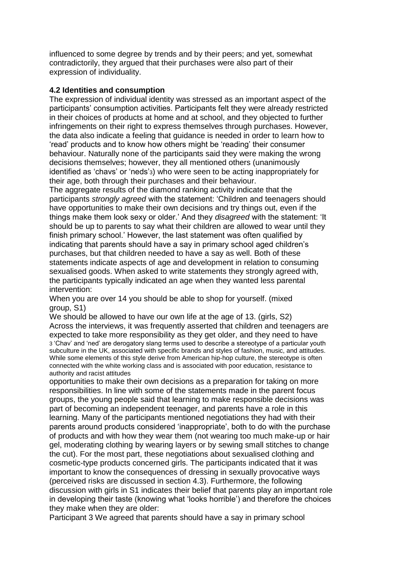influenced to some degree by trends and by their peers; and yet, somewhat contradictorily, they argued that their purchases were also part of their expression of individuality.

## **4.2 Identities and consumption**

The expression of individual identity was stressed as an important aspect of the participants' consumption activities. Participants felt they were already restricted in their choices of products at home and at school, and they objected to further infringements on their right to express themselves through purchases. However, the data also indicate a feeling that guidance is needed in order to learn how to 'read' products and to know how others might be 'reading' their consumer behaviour. Naturally none of the participants said they were making the wrong decisions themselves; however, they all mentioned others (unanimously identified as 'chavs' or 'neds'3) who were seen to be acting inappropriately for their age, both through their purchases and their behaviour.

The aggregate results of the diamond ranking activity indicate that the participants *strongly agreed* with the statement: 'Children and teenagers should have opportunities to make their own decisions and try things out, even if the things make them look sexy or older.' And they *disagreed* with the statement: 'It should be up to parents to say what their children are allowed to wear until they finish primary school.' However, the last statement was often qualified by indicating that parents should have a say in primary school aged children's purchases, but that children needed to have a say as well. Both of these statements indicate aspects of age and development in relation to consuming sexualised goods. When asked to write statements they strongly agreed with, the participants typically indicated an age when they wanted less parental intervention:

When you are over 14 you should be able to shop for yourself. (mixed group, S1)

We should be allowed to have our own life at the age of 13. (girls, S2) Across the interviews, it was frequently asserted that children and teenagers are expected to take more responsibility as they get older, and they need to have 3 'Chav' and 'ned' are derogatory slang terms used to describe a stereotype of a particular youth subculture in the UK, associated with specific brands and styles of fashion, music, and attitudes. While some elements of this style derive from American hip-hop culture, the stereotype is often connected with the white working class and is associated with poor education, resistance to authority and racist attitudes

opportunities to make their own decisions as a preparation for taking on more responsibilities. In line with some of the statements made in the parent focus groups, the young people said that learning to make responsible decisions was part of becoming an independent teenager, and parents have a role in this learning. Many of the participants mentioned negotiations they had with their parents around products considered 'inappropriate', both to do with the purchase of products and with how they wear them (not wearing too much make-up or hair gel, moderating clothing by wearing layers or by sewing small stitches to change the cut). For the most part, these negotiations about sexualised clothing and cosmetic-type products concerned girls. The participants indicated that it was important to know the consequences of dressing in sexually provocative ways (perceived risks are discussed in section 4.3). Furthermore, the following discussion with girls in S1 indicates their belief that parents play an important role in developing their taste (knowing what 'looks horrible') and therefore the choices they make when they are older:

Participant 3 We agreed that parents should have a say in primary school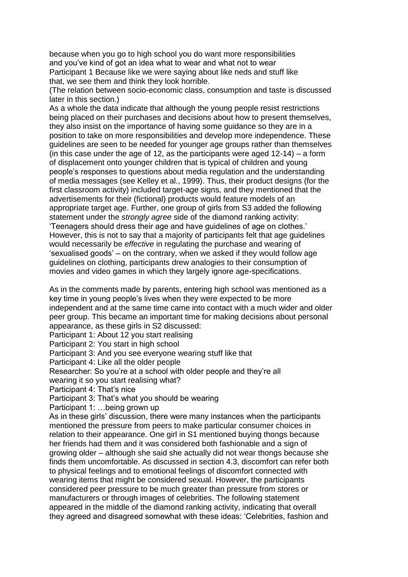because when you go to high school you do want more responsibilities and you've kind of got an idea what to wear and what not to wear Participant 1 Because like we were saying about like neds and stuff like that, we see them and think they look horrible.

(The relation between socio-economic class, consumption and taste is discussed later in this section.)

As a whole the data indicate that although the young people resist restrictions being placed on their purchases and decisions about how to present themselves, they also insist on the importance of having some guidance so they are in a position to take on more responsibilities and develop more independence. These guidelines are seen to be needed for younger age groups rather than themselves (in this case under the age of 12, as the participants were aged  $12-14$ ) – a form of displacement onto younger children that is typical of children and young people's responses to questions about media regulation and the understanding of media messages (see Kelley et al., 1999). Thus, their product designs (for the first classroom activity) included target-age signs, and they mentioned that the advertisements for their (fictional) products would feature models of an appropriate target age. Further, one group of girls from S3 added the following statement under the *strongly agree* side of the diamond ranking activity: 'Teenagers should dress their age and have guidelines of age on clothes.' However, this is not to say that a majority of participants felt that age guidelines would necessarily be *effective* in regulating the purchase and wearing of 'sexualised goods' – on the contrary, when we asked if they would follow age guidelines on clothing, participants drew analogies to their consumption of movies and video games in which they largely ignore age-specifications.

As in the comments made by parents, entering high school was mentioned as a key time in young people's lives when they were expected to be more independent and at the same time came into contact with a much wider and older peer group. This became an important time for making decisions about personal appearance, as these girls in S2 discussed:

Participant 1: About 12 you start realising

Participant 2: You start in high school

Participant 3: And you see everyone wearing stuff like that

Participant 4: Like all the older people

Researcher: So you're at a school with older people and they're all

wearing it so you start realising what?

Participant 4: That's nice

Participant 3: That's what you should be wearing

Participant 1: …being grown up

As in these girls' discussion, there were many instances when the participants mentioned the pressure from peers to make particular consumer choices in relation to their appearance. One girl in S1 mentioned buying thongs because her friends had them and it was considered both fashionable and a sign of growing older – although she said she actually did not wear thongs because she finds them uncomfortable. As discussed in section 4.3, discomfort can refer both to physical feelings and to emotional feelings of discomfort connected with wearing items that might be considered sexual. However, the participants considered peer pressure to be much greater than pressure from stores or manufacturers or through images of celebrities. The following statement appeared in the middle of the diamond ranking activity, indicating that overall they agreed and disagreed somewhat with these ideas: 'Celebrities, fashion and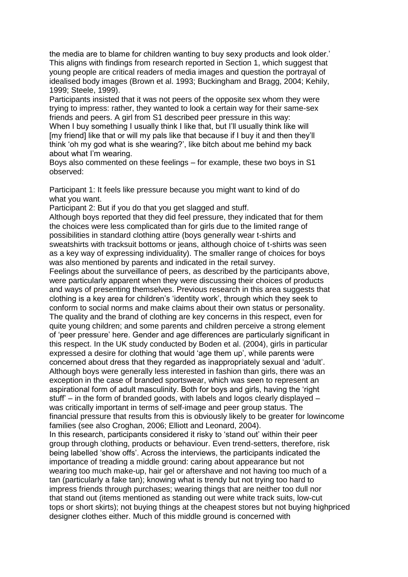the media are to blame for children wanting to buy sexy products and look older.' This aligns with findings from research reported in Section 1, which suggest that young people are critical readers of media images and question the portrayal of idealised body images (Brown et al. 1993; Buckingham and Bragg, 2004; Kehily, 1999; Steele, 1999).

Participants insisted that it was not peers of the opposite sex whom they were trying to impress: rather, they wanted to look a certain way for their same-sex friends and peers. A girl from S1 described peer pressure in this way:

When I buy something I usually think I like that, but I'll usually think like will [my friend] like that or will my pals like that because if I buy it and then they'll think 'oh my god what is she wearing?', like bitch about me behind my back about what I'm wearing.

Boys also commented on these feelings – for example, these two boys in S1 observed:

Participant 1: It feels like pressure because you might want to kind of do what you want.

Participant 2: But if you do that you get slagged and stuff.

Although boys reported that they did feel pressure, they indicated that for them the choices were less complicated than for girls due to the limited range of possibilities in standard clothing attire (boys generally wear t-shirts and sweatshirts with tracksuit bottoms or jeans, although choice of t-shirts was seen as a key way of expressing individuality). The smaller range of choices for boys was also mentioned by parents and indicated in the retail survey.

Feelings about the surveillance of peers, as described by the participants above, were particularly apparent when they were discussing their choices of products and ways of presenting themselves. Previous research in this area suggests that clothing is a key area for children's 'identity work', through which they seek to conform to social norms and make claims about their own status or personality. The quality and the brand of clothing are key concerns in this respect, even for quite young children; and some parents and children perceive a strong element of 'peer pressure' here. Gender and age differences are particularly significant in this respect. In the UK study conducted by Boden et al. (2004), girls in particular expressed a desire for clothing that would 'age them up', while parents were concerned about dress that they regarded as inappropriately sexual and 'adult'. Although boys were generally less interested in fashion than girls, there was an exception in the case of branded sportswear, which was seen to represent an aspirational form of adult masculinity. Both for boys and girls, having the 'right stuff' – in the form of branded goods, with labels and logos clearly displayed – was critically important in terms of self-image and peer group status. The financial pressure that results from this is obviously likely to be greater for lowincome families (see also Croghan, 2006; Elliott and Leonard, 2004). In this research, participants considered it risky to 'stand out' within their peer group through clothing, products or behaviour. Even trend-setters, therefore, risk being labelled 'show offs'. Across the interviews, the participants indicated the importance of treading a middle ground: caring about appearance but not wearing too much make-up, hair gel or aftershave and not having too much of a tan (particularly a fake tan); knowing what is trendy but not trying too hard to impress friends through purchases; wearing things that are neither too dull nor

that stand out (items mentioned as standing out were white track suits, low-cut tops or short skirts); not buying things at the cheapest stores but not buying highpriced designer clothes either. Much of this middle ground is concerned with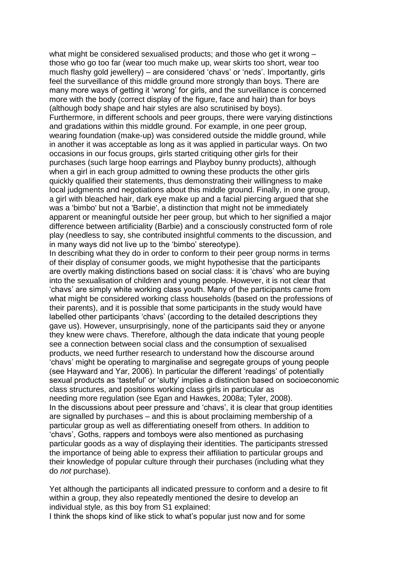what might be considered sexualised products; and those who get it wrong – those who go too far (wear too much make up, wear skirts too short, wear too much flashy gold jewellery) – are considered 'chavs' or 'neds'. Importantly, girls feel the surveillance of this middle ground more strongly than boys. There are many more ways of getting it 'wrong' for girls, and the surveillance is concerned more with the body (correct display of the figure, face and hair) than for boys (although body shape and hair styles are also scrutinised by boys). Furthermore, in different schools and peer groups, there were varying distinctions and gradations within this middle ground. For example, in one peer group, wearing foundation (make-up) was considered outside the middle ground, while in another it was acceptable as long as it was applied in particular ways. On two occasions in our focus groups, girls started critiquing other girls for their purchases (such large hoop earrings and Playboy bunny products), although when a girl in each group admitted to owning these products the other girls quickly qualified their statements, thus demonstrating their willingness to make local judgments and negotiations about this middle ground. Finally, in one group, a girl with bleached hair, dark eye make up and a facial piercing argued that she was a 'bimbo' but not a 'Barbie', a distinction that might not be immediately apparent or meaningful outside her peer group, but which to her signified a major difference between artificiality (Barbie) and a consciously constructed form of role play (needless to say, she contributed insightful comments to the discussion, and in many ways did not live up to the 'bimbo' stereotype).

In describing what they do in order to conform to their peer group norms in terms of their display of consumer goods, we might hypothesise that the participants are overtly making distinctions based on social class: it is 'chavs' who are buying into the sexualisation of children and young people. However, it is not clear that 'chavs' are simply white working class youth. Many of the participants came from what might be considered working class households (based on the professions of their parents), and it is possible that some participants in the study would have labelled other participants 'chavs' (according to the detailed descriptions they gave us). However, unsurprisingly, none of the participants said they or anyone they knew were chavs. Therefore, although the data indicate that young people see a connection between social class and the consumption of sexualised products, we need further research to understand how the discourse around 'chavs' might be operating to marginalise and segregate groups of young people (see Hayward and Yar, 2006). In particular the different 'readings' of potentially sexual products as 'tasteful' or 'slutty' implies a distinction based on socioeconomic class structures, and positions working class girls in particular as needing more regulation (see Egan and Hawkes, 2008a; Tyler, 2008). In the discussions about peer pressure and 'chavs', it is clear that group identities are signalled by purchases – and this is about proclaiming membership of a particular group as well as differentiating oneself from others. In addition to 'chavs', Goths, rappers and tomboys were also mentioned as purchasing particular goods as a way of displaying their identities. The participants stressed the importance of being able to express their affiliation to particular groups and their knowledge of popular culture through their purchases (including what they do *not* purchase).

Yet although the participants all indicated pressure to conform and a desire to fit within a group, they also repeatedly mentioned the desire to develop an individual style, as this boy from S1 explained:

I think the shops kind of like stick to what's popular just now and for some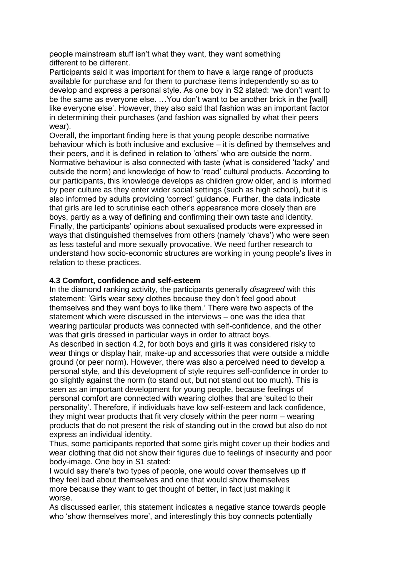people mainstream stuff isn't what they want, they want something different to be different.

Participants said it was important for them to have a large range of products available for purchase and for them to purchase items independently so as to develop and express a personal style. As one boy in S2 stated: 'we don't want to be the same as everyone else. …You don't want to be another brick in the [wall] like everyone else'. However, they also said that fashion was an important factor in determining their purchases (and fashion was signalled by what their peers wear).

Overall, the important finding here is that young people describe normative behaviour which is both inclusive and exclusive – it is defined by themselves and their peers, and it is defined in relation to 'others' who are outside the norm. Normative behaviour is also connected with taste (what is considered 'tacky' and outside the norm) and knowledge of how to 'read' cultural products. According to our participants, this knowledge develops as children grow older, and is informed by peer culture as they enter wider social settings (such as high school), but it is also informed by adults providing 'correct' guidance. Further, the data indicate that girls are led to scrutinise each other's appearance more closely than are boys, partly as a way of defining and confirming their own taste and identity. Finally, the participants' opinions about sexualised products were expressed in ways that distinguished themselves from others (namely 'chavs') who were seen as less tasteful and more sexually provocative. We need further research to understand how socio-economic structures are working in young people's lives in relation to these practices.

#### **4.3 Comfort, confidence and self-esteem**

In the diamond ranking activity, the participants generally *disagreed* with this statement: 'Girls wear sexy clothes because they don't feel good about themselves and they want boys to like them.' There were two aspects of the statement which were discussed in the interviews – one was the idea that wearing particular products was connected with self-confidence, and the other was that girls dressed in particular ways in order to attract boys.

As described in section 4.2, for both boys and girls it was considered risky to wear things or display hair, make-up and accessories that were outside a middle ground (or peer norm). However, there was also a perceived need to develop a personal style, and this development of style requires self-confidence in order to go slightly against the norm (to stand out, but not stand out too much). This is seen as an important development for young people, because feelings of personal comfort are connected with wearing clothes that are 'suited to their personality'. Therefore, if individuals have low self-esteem and lack confidence, they might wear products that fit very closely within the peer norm – wearing products that do not present the risk of standing out in the crowd but also do not express an individual identity.

Thus, some participants reported that some girls might cover up their bodies and wear clothing that did not show their figures due to feelings of insecurity and poor body-image. One boy in S1 stated:

I would say there's two types of people, one would cover themselves up if they feel bad about themselves and one that would show themselves more because they want to get thought of better, in fact just making it worse.

As discussed earlier, this statement indicates a negative stance towards people who 'show themselves more', and interestingly this boy connects potentially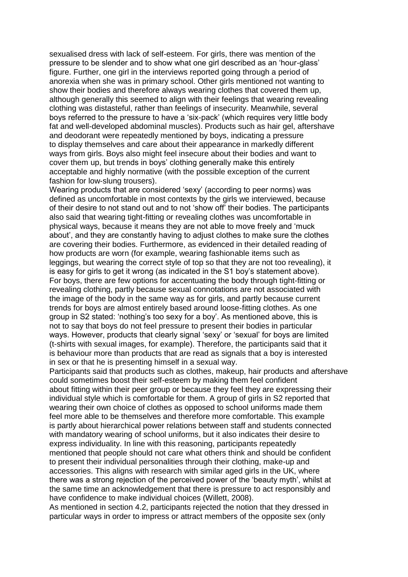sexualised dress with lack of self-esteem. For girls, there was mention of the pressure to be slender and to show what one girl described as an 'hour-glass' figure. Further, one girl in the interviews reported going through a period of anorexia when she was in primary school. Other girls mentioned not wanting to show their bodies and therefore always wearing clothes that covered them up, although generally this seemed to align with their feelings that wearing revealing clothing was distasteful, rather than feelings of insecurity. Meanwhile, several boys referred to the pressure to have a 'six-pack' (which requires very little body fat and well-developed abdominal muscles). Products such as hair gel, aftershave and deodorant were repeatedly mentioned by boys, indicating a pressure to display themselves and care about their appearance in markedly different ways from girls. Boys also might feel insecure about their bodies and want to cover them up, but trends in boys' clothing generally make this entirely acceptable and highly normative (with the possible exception of the current fashion for low-slung trousers).

Wearing products that are considered 'sexy' (according to peer norms) was defined as uncomfortable in most contexts by the girls we interviewed, because of their desire to not stand out and to not 'show off' their bodies. The participants also said that wearing tight-fitting or revealing clothes was uncomfortable in physical ways, because it means they are not able to move freely and 'muck about', and they are constantly having to adjust clothes to make sure the clothes are covering their bodies. Furthermore, as evidenced in their detailed reading of how products are worn (for example, wearing fashionable items such as leggings, but wearing the correct style of top so that they are not too revealing), it is easy for girls to get it wrong (as indicated in the S1 boy's statement above). For boys, there are few options for accentuating the body through tight-fitting or revealing clothing, partly because sexual connotations are not associated with the image of the body in the same way as for girls, and partly because current trends for boys are almost entirely based around loose-fitting clothes. As one group in S2 stated: 'nothing's too sexy for a boy'. As mentioned above, this is not to say that boys do not feel pressure to present their bodies in particular ways. However, products that clearly signal 'sexy' or 'sexual' for boys are limited (t-shirts with sexual images, for example). Therefore, the participants said that it is behaviour more than products that are read as signals that a boy is interested in sex or that he is presenting himself in a sexual way.

Participants said that products such as clothes, makeup, hair products and aftershave could sometimes boost their self-esteem by making them feel confident about fitting within their peer group or because they feel they are expressing their individual style which is comfortable for them. A group of girls in S2 reported that wearing their own choice of clothes as opposed to school uniforms made them feel more able to be themselves and therefore more comfortable. This example is partly about hierarchical power relations between staff and students connected with mandatory wearing of school uniforms, but it also indicates their desire to express individuality. In line with this reasoning, participants repeatedly mentioned that people should not care what others think and should be confident to present their individual personalities through their clothing, make-up and accessories. This aligns with research with similar aged girls in the UK, where there was a strong rejection of the perceived power of the 'beauty myth', whilst at the same time an acknowledgement that there is pressure to act responsibly and have confidence to make individual choices (Willett, 2008).

As mentioned in section 4.2, participants rejected the notion that they dressed in particular ways in order to impress or attract members of the opposite sex (only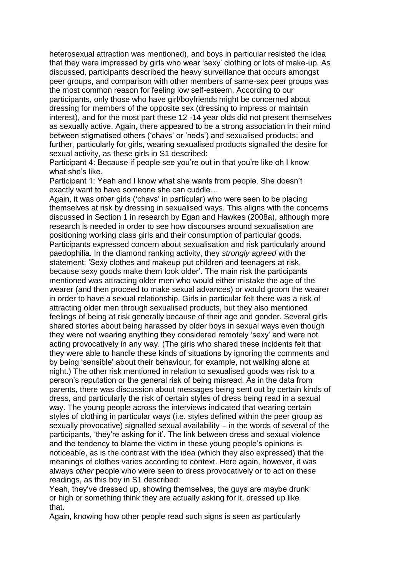heterosexual attraction was mentioned), and boys in particular resisted the idea that they were impressed by girls who wear 'sexy' clothing or lots of make-up. As discussed, participants described the heavy surveillance that occurs amongst peer groups, and comparison with other members of same-sex peer groups was the most common reason for feeling low self-esteem. According to our participants, only those who have girl/boyfriends might be concerned about dressing for members of the opposite sex (dressing to impress or maintain interest), and for the most part these 12 -14 year olds did not present themselves as sexually active. Again, there appeared to be a strong association in their mind between stigmatised others ('chavs' or 'neds') and sexualised products; and further, particularly for girls, wearing sexualised products signalled the desire for sexual activity, as these girls in S1 described:

Participant 4: Because if people see you're out in that you're like oh I know what she's like.

Participant 1: Yeah and I know what she wants from people. She doesn't exactly want to have someone she can cuddle…

Again, it was *other* girls ('chavs' in particular) who were seen to be placing themselves at risk by dressing in sexualised ways. This aligns with the concerns discussed in Section 1 in research by Egan and Hawkes (2008a), although more research is needed in order to see how discourses around sexualisation are positioning working class girls and their consumption of particular goods. Participants expressed concern about sexualisation and risk particularly around paedophilia. In the diamond ranking activity, they *strongly agreed* with the statement: 'Sexy clothes and makeup put children and teenagers at risk, because sexy goods make them look older'. The main risk the participants mentioned was attracting older men who would either mistake the age of the wearer (and then proceed to make sexual advances) or would groom the wearer in order to have a sexual relationship. Girls in particular felt there was a risk of attracting older men through sexualised products, but they also mentioned feelings of being at risk generally because of their age and gender. Several girls shared stories about being harassed by older boys in sexual ways even though they were not wearing anything they considered remotely 'sexy' and were not acting provocatively in any way. (The girls who shared these incidents felt that they were able to handle these kinds of situations by ignoring the comments and by being 'sensible' about their behaviour, for example, not walking alone at night.) The other risk mentioned in relation to sexualised goods was risk to a person's reputation or the general risk of being misread. As in the data from parents, there was discussion about messages being sent out by certain kinds of dress, and particularly the risk of certain styles of dress being read in a sexual way. The young people across the interviews indicated that wearing certain styles of clothing in particular ways (i.e. styles defined within the peer group as sexually provocative) signalled sexual availability – in the words of several of the participants, 'they're asking for it'. The link between dress and sexual violence and the tendency to blame the victim in these young people's opinions is noticeable, as is the contrast with the idea (which they also expressed) that the meanings of clothes varies according to context. Here again, however, it was always *other* people who were seen to dress provocatively or to act on these readings, as this boy in S1 described:

Yeah, they've dressed up, showing themselves, the guys are maybe drunk or high or something think they are actually asking for it, dressed up like that.

Again, knowing how other people read such signs is seen as particularly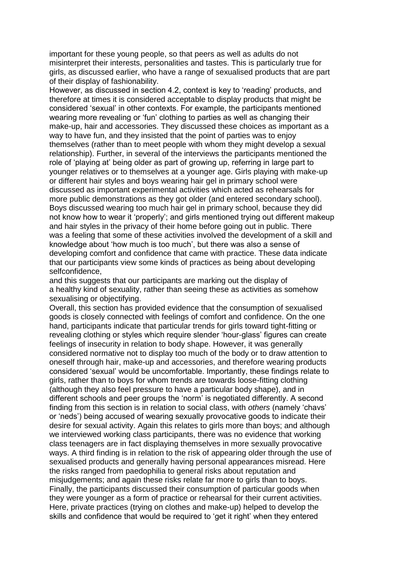important for these young people, so that peers as well as adults do not misinterpret their interests, personalities and tastes. This is particularly true for girls, as discussed earlier, who have a range of sexualised products that are part of their display of fashionability.

However, as discussed in section 4.2, context is key to 'reading' products, and therefore at times it is considered acceptable to display products that might be considered 'sexual' in other contexts. For example, the participants mentioned wearing more revealing or 'fun' clothing to parties as well as changing their make-up, hair and accessories. They discussed these choices as important as a way to have fun, and they insisted that the point of parties was to enjoy themselves (rather than to meet people with whom they might develop a sexual relationship). Further, in several of the interviews the participants mentioned the role of 'playing at' being older as part of growing up, referring in large part to younger relatives or to themselves at a younger age. Girls playing with make-up or different hair styles and boys wearing hair gel in primary school were discussed as important experimental activities which acted as rehearsals for more public demonstrations as they got older (and entered secondary school). Boys discussed wearing too much hair gel in primary school, because they did not know how to wear it 'properly'; and girls mentioned trying out different makeup and hair styles in the privacy of their home before going out in public. There was a feeling that some of these activities involved the development of a skill and knowledge about 'how much is too much', but there was also a sense of developing comfort and confidence that came with practice. These data indicate that our participants view some kinds of practices as being about developing selfconfidence,

and this suggests that our participants are marking out the display of a healthy kind of sexuality, rather than seeing these as activities as somehow sexualising or objectifying.

Overall, this section has provided evidence that the consumption of sexualised goods is closely connected with feelings of comfort and confidence. On the one hand, participants indicate that particular trends for girls toward tight-fitting or revealing clothing or styles which require slender 'hour-glass' figures can create feelings of insecurity in relation to body shape. However, it was generally considered normative not to display too much of the body or to draw attention to oneself through hair, make-up and accessories, and therefore wearing products considered 'sexual' would be uncomfortable. Importantly, these findings relate to girls, rather than to boys for whom trends are towards loose-fitting clothing (although they also feel pressure to have a particular body shape), and in different schools and peer groups the 'norm' is negotiated differently. A second finding from this section is in relation to social class, with *others* (namely 'chavs' or 'neds') being accused of wearing sexually provocative goods to indicate their desire for sexual activity. Again this relates to girls more than boys; and although we interviewed working class participants, there was no evidence that working class teenagers are in fact displaying themselves in more sexually provocative ways. A third finding is in relation to the risk of appearing older through the use of sexualised products and generally having personal appearances misread. Here the risks ranged from paedophilia to general risks about reputation and misjudgements; and again these risks relate far more to girls than to boys. Finally, the participants discussed their consumption of particular goods when they were younger as a form of practice or rehearsal for their current activities. Here, private practices (trying on clothes and make-up) helped to develop the skills and confidence that would be required to 'get it right' when they entered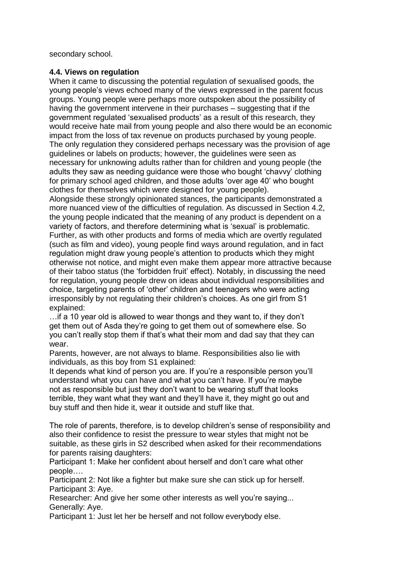secondary school.

#### **4.4. Views on regulation**

When it came to discussing the potential regulation of sexualised goods, the young people's views echoed many of the views expressed in the parent focus groups. Young people were perhaps more outspoken about the possibility of having the government intervene in their purchases – suggesting that if the government regulated 'sexualised products' as a result of this research, they would receive hate mail from young people and also there would be an economic impact from the loss of tax revenue on products purchased by young people. The only regulation they considered perhaps necessary was the provision of age guidelines or labels on products; however, the guidelines were seen as necessary for unknowing adults rather than for children and young people (the adults they saw as needing guidance were those who bought 'chavvy' clothing for primary school aged children, and those adults 'over age 40' who bought clothes for themselves which were designed for young people). Alongside these strongly opinionated stances, the participants demonstrated a more nuanced view of the difficulties of regulation. As discussed in Section 4.2, the young people indicated that the meaning of any product is dependent on a variety of factors, and therefore determining what is 'sexual' is problematic. Further, as with other products and forms of media which are overtly regulated (such as film and video), young people find ways around regulation, and in fact regulation might draw young people's attention to products which they might otherwise not notice, and might even make them appear more attractive because of their taboo status (the 'forbidden fruit' effect). Notably, in discussing the need for regulation, young people drew on ideas about individual responsibilities and choice, targeting parents of 'other' children and teenagers who were acting irresponsibly by not regulating their children's choices. As one girl from S1 explained:

…if a 10 year old is allowed to wear thongs and they want to, if they don't get them out of Asda they're going to get them out of somewhere else. So you can't really stop them if that's what their mom and dad say that they can wear.

Parents, however, are not always to blame. Responsibilities also lie with individuals, as this boy from S1 explained:

It depends what kind of person you are. If you're a responsible person you'll understand what you can have and what you can't have. If you're maybe not as responsible but just they don't want to be wearing stuff that looks terrible, they want what they want and they'll have it, they might go out and buy stuff and then hide it, wear it outside and stuff like that.

The role of parents, therefore, is to develop children's sense of responsibility and also their confidence to resist the pressure to wear styles that might not be suitable, as these girls in S2 described when asked for their recommendations for parents raising daughters:

Participant 1: Make her confident about herself and don't care what other people….

Participant 2: Not like a fighter but make sure she can stick up for herself. Participant 3: Aye.

Researcher: And give her some other interests as well you're saying... Generally: Aye.

Participant 1: Just let her be herself and not follow everybody else.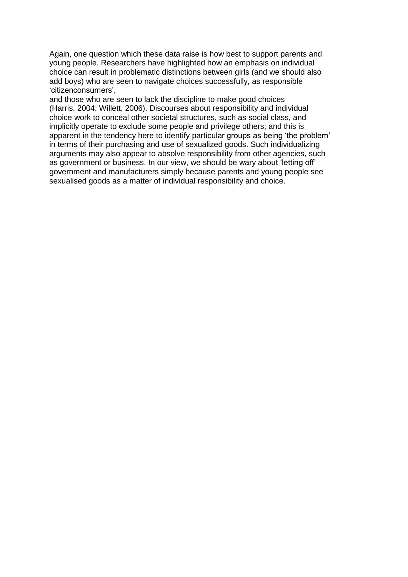Again, one question which these data raise is how best to support parents and young people. Researchers have highlighted how an emphasis on individual choice can result in problematic distinctions between girls (and we should also add boys) who are seen to navigate choices successfully, as responsible 'citizenconsumers',

and those who are seen to lack the discipline to make good choices (Harris, 2004; Willett, 2006). Discourses about responsibility and individual choice work to conceal other societal structures, such as social class, and implicitly operate to exclude some people and privilege others; and this is apparent in the tendency here to identify particular groups as being 'the problem' in terms of their purchasing and use of sexualized goods. Such individualizing arguments may also appear to absolve responsibility from other agencies, such as government or business. In our view, we should be wary about 'letting off' government and manufacturers simply because parents and young people see sexualised goods as a matter of individual responsibility and choice.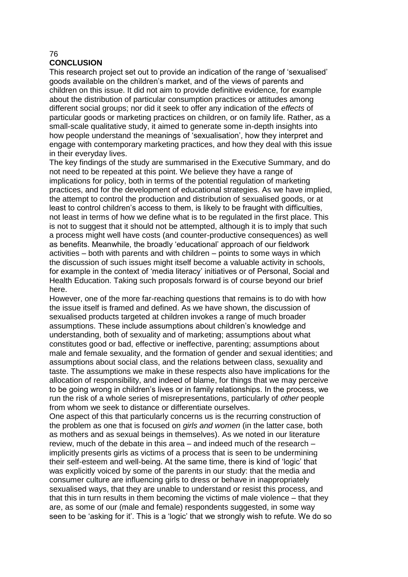#### 76 **CONCLUSION**

This research project set out to provide an indication of the range of 'sexualised' goods available on the children's market, and of the views of parents and children on this issue. It did not aim to provide definitive evidence, for example about the distribution of particular consumption practices or attitudes among different social groups; nor did it seek to offer any indication of the *effects* of particular goods or marketing practices on children, or on family life. Rather, as a small-scale qualitative study, it aimed to generate some in-depth insights into how people understand the meanings of 'sexualisation', how they interpret and engage with contemporary marketing practices, and how they deal with this issue in their everyday lives.

The key findings of the study are summarised in the Executive Summary, and do not need to be repeated at this point. We believe they have a range of implications for policy, both in terms of the potential regulation of marketing practices, and for the development of educational strategies. As we have implied, the attempt to control the production and distribution of sexualised goods, or at least to control children's access to them, is likely to be fraught with difficulties, not least in terms of how we define what is to be regulated in the first place. This is not to suggest that it should not be attempted, although it is to imply that such a process might well have costs (and counter-productive consequences) as well as benefits. Meanwhile, the broadly 'educational' approach of our fieldwork activities – both with parents and with children – points to some ways in which the discussion of such issues might itself become a valuable activity in schools, for example in the context of 'media literacy' initiatives or of Personal, Social and Health Education. Taking such proposals forward is of course beyond our brief here.

However, one of the more far-reaching questions that remains is to do with how the issue itself is framed and defined. As we have shown, the discussion of sexualised products targeted at children invokes a range of much broader assumptions. These include assumptions about children's knowledge and understanding, both of sexuality and of marketing; assumptions about what constitutes good or bad, effective or ineffective, parenting; assumptions about male and female sexuality, and the formation of gender and sexual identities; and assumptions about social class, and the relations between class, sexuality and taste. The assumptions we make in these respects also have implications for the allocation of responsibility, and indeed of blame, for things that we may perceive to be going wrong in children's lives or in family relationships. In the process, we run the risk of a whole series of misrepresentations, particularly of *other* people from whom we seek to distance or differentiate ourselves.

One aspect of this that particularly concerns us is the recurring construction of the problem as one that is focused on *girls and women* (in the latter case, both as mothers and as sexual beings in themselves). As we noted in our literature review, much of the debate in this area – and indeed much of the research – implicitly presents girls as victims of a process that is seen to be undermining their self-esteem and well-being. At the same time, there is kind of 'logic' that was explicitly voiced by some of the parents in our study: that the media and consumer culture are influencing girls to dress or behave in inappropriately sexualised ways, that they are unable to understand or resist this process, and that this in turn results in them becoming the victims of male violence – that they are, as some of our (male and female) respondents suggested, in some way seen to be 'asking for it'. This is a 'logic' that we strongly wish to refute. We do so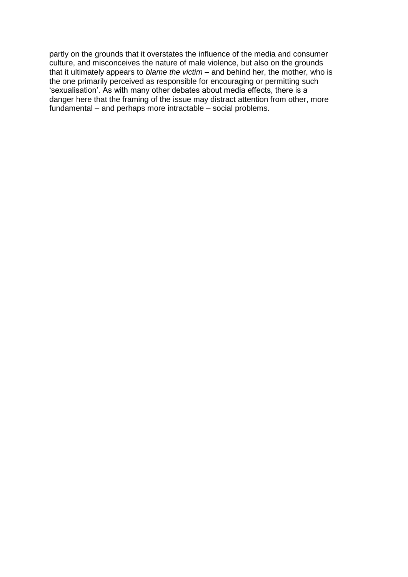partly on the grounds that it overstates the influence of the media and consumer culture, and misconceives the nature of male violence, but also on the grounds that it ultimately appears to *blame the victim* – and behind her, the mother, who is the one primarily perceived as responsible for encouraging or permitting such 'sexualisation'. As with many other debates about media effects, there is a danger here that the framing of the issue may distract attention from other, more fundamental – and perhaps more intractable – social problems.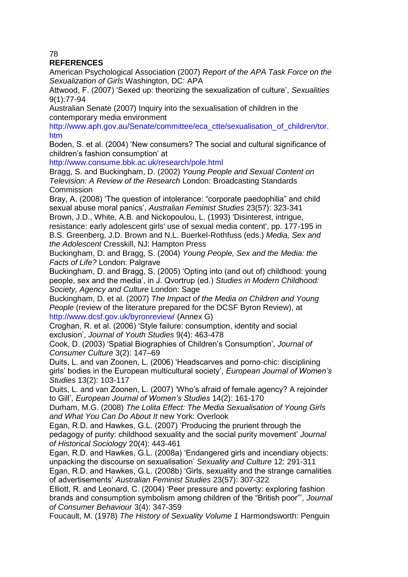## 78

## **REFERENCES**

American Psychological Association (2007) *Report of the APA Task Force on the Sexualization of Girls* Washington, DC: APA

Attwood, F. (2007) 'Sexed up: theorizing the sexualization of culture', *Sexualities* 9(1):77-94

Australian Senate (2007) Inquiry into the sexualisation of children in the contemporary media environment

http://www.aph.gov.au/Senate/committee/eca\_ctte/sexualisation\_of\_children/tor. htm

Boden, S. et al. (2004) 'New consumers? The social and cultural significance of children's fashion consumption' at

http://www.consume.bbk.ac.uk/research/pole.html

Bragg, S. and Buckingham, D. (2002) *Young People and Sexual Content on Television: A Review of the Research* London: Broadcasting Standards **Commission** 

Bray, A. (2008) 'The question of intolerance: "corporate paedophilia" and child sexual abuse moral panics', *Australian Feminist Studies* 23(57): 323-341 Brown, J.D., White, A.B. and Nickopoulou, L. (1993) 'Disinterest, intrigue,

resistance: early adolescent girls' use of sexual media content', pp. 177-195 in B.S. Greenberg, J.D. Brown and N.L. Buerkel-Rothfuss (eds.) *Media, Sex and the Adolescent* Cresskill, NJ: Hampton Press

Buckingham, D. and Bragg, S. (2004) *Young People, Sex and the Media: the Facts of Life?* London: Palgrave

Buckingham, D. and Bragg, S. (2005) 'Opting into (and out of) childhood: young people, sex and the media', in J. Qvortrup (ed.) *Studies in Modern Childhood: Society, Agency and Culture* London: Sage

Buckingham, D. et al. (2007) *The Impact of the Media on Children and Young People* (review of the literature prepared for the DCSF Byron Review), at http://www.dcsf.gov.uk/byronreview/ (Annex G)

Croghan, R. et al. (2006) 'Style failure: consumption, identity and social exclusion', *Journal of Youth Studies* 9(4): 463-478

Cook, D. (2003) 'Spatial Biographies of Children's Consumption', *Journal of Consumer Culture* 3(2): 147–69

Duits, L. and van Zoonen, L. (2006) 'Headscarves and porno-chic: disciplining girls' bodies in the European multicultural society', *European Journal of Women's Studies* 13(2): 103-117

Duits, L. and van Zoonen, L. (2007) 'Who's afraid of female agency? A rejoinder to Gill', *European Journal of Women's Studies* 14(2): 161-170

Durham, M.G. (2008) *The Lolita Effect: The Media Sexualisation of Young Girls and What You Can Do About It* new York: Overlook

Egan, R.D. and Hawkes, G.L. (2007) 'Producing the prurient through the pedagogy of purity: childhood sexuality and the social purity movement' *Journal of Historical Sociology* 20(4): 443-461

Egan, R.D. and Hawkes, G.L. (2008a) 'Endangered girls and incendiary objects: unpacking the discourse on sexualisation' *Sexuality and Culture* 12: 291-311

Egan, R.D. and Hawkes, G.L. (2008b) 'Girls, sexuality and the strange carnalities of advertisements' *Australian Feminist Studies* 23(57): 307-322

Elliott, R. and Leonard, C. (2004) 'Peer pressure and poverty: exploring fashion brands and consumption symbolism among children of the "British poor"', *Journal of Consumer Behaviour* 3(4): 347-359

Foucault, M. (1978) *The History of Sexuality Volume 1* Harmondsworth: Penguin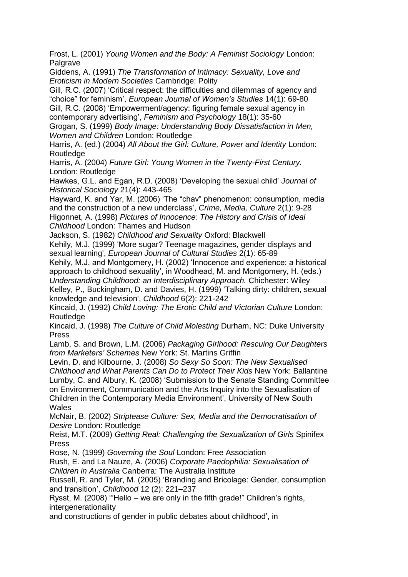Frost, L. (2001) *Young Women and the Body: A Feminist Sociology* London: Palgrave

Giddens, A. (1991) *The Transformation of Intimacy: Sexuality, Love and Eroticism in Modern Societies* Cambridge: Polity

Gill, R.C. (2007) 'Critical respect: the difficulties and dilemmas of agency and "choice" for feminism', *European Journal of Women's Studies* 14(1): 69-80 Gill, R.C. (2008) 'Empowerment/agency: figuring female sexual agency in

contemporary advertising', *Feminism and Psychology* 18(1): 35-60

Grogan, S. (1999) *Body Image: Understanding Body Dissatisfaction in Men, Women and Children* London: Routledge

Harris, A. (ed.) (2004) *All About the Girl: Culture, Power and Identity* London: **Routledge** 

Harris, A. (2004) *Future Girl: Young Women in the Twenty-First Century.* London: Routledge

Hawkes, G.L. and Egan, R.D. (2008) 'Developing the sexual child' *Journal of Historical Sociology* 21(4): 443-465

Hayward, K. and Yar, M. (2006) 'The "chav" phenomenon: consumption, media and the construction of a new underclass', *Crime, Media, Culture* 2(1): 9-28 Higonnet, A. (1998) *Pictures of Innocence: The History and Crisis of Ideal Childhood* London: Thames and Hudson

Jackson, S. (1982) *Childhood and Sexuality* Oxford: Blackwell

Kehily, M.J. (1999) 'More sugar? Teenage magazines, gender displays and sexual learning', *European Journal of Cultural Studies* 2(1): 65-89

Kehily, M.J. and Montgomery, H. (2002) 'Innocence and experience: a historical approach to childhood sexuality', in Woodhead, M. and Montgomery, H. (eds.) *Understanding Childhood: an Interdisciplinary Approach.* Chichester: Wiley

Kelley, P., Buckingham, D. and Davies, H. (1999) 'Talking dirty: children, sexual knowledge and television', *Childhood* 6(2): 221-242

Kincaid, J. (1992) *Child Loving: The Erotic Child and Victorian Culture* London: **Routledge** 

Kincaid, J. (1998) *The Culture of Child Molesting* Durham, NC: Duke University Press

Lamb, S. and Brown, L.M. (2006) *Packaging Girlhood: Rescuing Our Daughters from Marketers' Schemes* New York: St. Martins Griffin

Levin, D. and Kilbourne, J. (2008) *So Sexy So Soon: The New Sexualised Childhood and What Parents Can Do to Protect Their Kids* New York: Ballantine Lumby, C. and Albury, K. (2008) 'Submission to the Senate Standing Committee on Environment, Communication and the Arts Inquiry into the Sexualisation of Children in the Contemporary Media Environment', University of New South **Wales** 

McNair, B. (2002) *Striptease Culture: Sex, Media and the Democratisation of Desire* London: Routledge

Reist, M.T. (2009) *Getting Real: Challenging the Sexualization of Girls* Spinifex Press

Rose, N. (1999) *Governing the Soul* London: Free Association

Rush, E. and La Nauze, A. (2006) *Corporate Paedophilia: Sexualisation of Children in Australia* Canberra: The Australia Institute

Russell, R. and Tyler, M. (2005) 'Branding and Bricolage: Gender, consumption and transition', *Childhood* 12 (2): 221–237

Rysst, M. (2008) '"Hello – we are only in the fifth grade!" Children's rights, intergenerationality

and constructions of gender in public debates about childhood', in